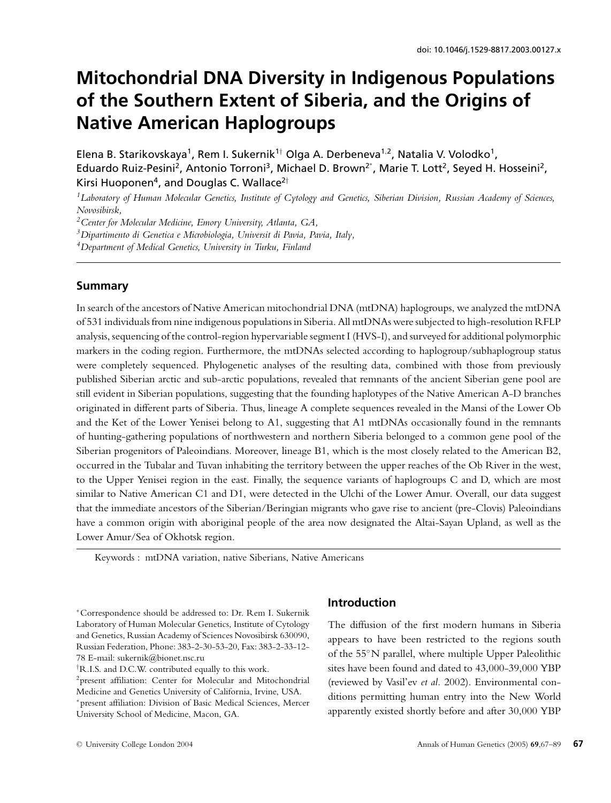# **Mitochondrial DNA Diversity in Indigenous Populations of the Southern Extent of Siberia, and the Origins of Native American Haplogroups**

Elena B. Starikovskaya<sup>1</sup>, Rem I. Sukernik<sup>1†</sup> Olga A. Derbeneva<sup>1,2</sup>, Natalia V. Volodko<sup>1</sup>, Eduardo Ruiz-Pesini<sup>2</sup>, Antonio Torroni<sup>3</sup>, Michael D. Brown<sup>2\*</sup>, Marie T. Lott<sup>2</sup>, Seyed H. Hosseini<sup>2</sup>, Kirsi Huoponen<sup>4</sup>, and Douglas C. Wallace<sup>2†</sup>

*1Laboratory of Human Molecular Genetics, Institute of Cytology and Genetics, Siberian Division, Russian Academy of Sciences, Novosibirsk,*

*2Center for Molecular Medicine, Emory University, Atlanta, GA,*

*3Dipartimento di Genetica e Microbiologia, Universit di Pavia, Pavia, Italy,*

## **Summary**

In search of the ancestors of Native American mitochondrial DNA (mtDNA) haplogroups, we analyzed the mtDNA of 531 individuals from nine indigenous populations in Siberia. All mtDNAs were subjected to high-resolution RFLP analysis, sequencing of the control-region hypervariable segment I (HVS-I), and surveyed for additional polymorphic markers in the coding region. Furthermore, the mtDNAs selected according to haplogroup/subhaplogroup status were completely sequenced. Phylogenetic analyses of the resulting data, combined with those from previously published Siberian arctic and sub-arctic populations, revealed that remnants of the ancient Siberian gene pool are still evident in Siberian populations, suggesting that the founding haplotypes of the Native American A-D branches originated in different parts of Siberia. Thus, lineage A complete sequences revealed in the Mansi of the Lower Ob and the Ket of the Lower Yenisei belong to A1, suggesting that A1 mtDNAs occasionally found in the remnants of hunting-gathering populations of northwestern and northern Siberia belonged to a common gene pool of the Siberian progenitors of Paleoindians. Moreover, lineage B1, which is the most closely related to the American B2, occurred in the Tubalar and Tuvan inhabiting the territory between the upper reaches of the Ob River in the west, to the Upper Yenisei region in the east. Finally, the sequence variants of haplogroups C and D, which are most similar to Native American C1 and D1, were detected in the Ulchi of the Lower Amur. Overall, our data suggest that the immediate ancestors of the Siberian/Beringian migrants who gave rise to ancient (pre-Clovis) Paleoindians have a common origin with aboriginal people of the area now designated the Altai-Sayan Upland, as well as the Lower Amur/Sea of Okhotsk region.

Keywords : mtDNA variation, native Siberians, Native Americans

## **Introduction**

The diffusion of the first modern humans in Siberia appears to have been restricted to the regions south of the 55◦N parallel, where multiple Upper Paleolithic sites have been found and dated to 43,000-39,000 YBP (reviewed by Vasil'ev *et al.* 2002). Environmental conditions permitting human entry into the New World apparently existed shortly before and after 30,000 YBP

*<sup>4</sup>Department of Medical Genetics, University in Turku, Finland*

<sup>∗</sup>Correspondence should be addressed to: Dr. Rem I. Sukernik Laboratory of Human Molecular Genetics, Institute of Cytology and Genetics, Russian Academy of Sciences Novosibirsk 630090, Russian Federation, Phone: 383-2-30-53-20, Fax: 383-2-33-12- 78 E-mail: sukernik@bionet.nsc.ru

<sup>†</sup> R.I.S. and D.C.W. contributed equally to this work.

<sup>2</sup>present affiliation: Center for Molecular and Mitochondrial Medicine and Genetics University of California, Irvine, USA. <sup>∗</sup> present affiliation: Division of Basic Medical Sciences, Mercer University School of Medicine, Macon, GA.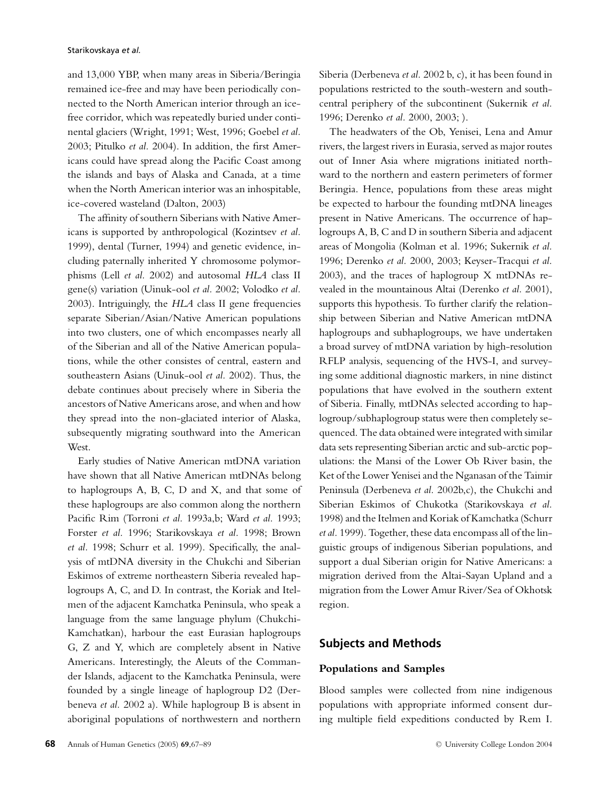and 13,000 YBP, when many areas in Siberia/Beringia remained ice-free and may have been periodically connected to the North American interior through an icefree corridor, which was repeatedly buried under continental glaciers (Wright, 1991; West, 1996; Goebel *et al.* 2003; Pitulko *et al.* 2004). In addition, the first Americans could have spread along the Pacific Coast among the islands and bays of Alaska and Canada, at a time when the North American interior was an inhospitable, ice-covered wasteland (Dalton, 2003)

The affinity of southern Siberians with Native Americans is supported by anthropological (Kozintsev *et al.* 1999), dental (Turner, 1994) and genetic evidence, including paternally inherited Y chromosome polymorphisms (Lell *et al.* 2002) and autosomal *HLA* class II gene(s) variation (Uinuk-ool *et al.* 2002; Volodko *et al.* 2003). Intriguingly, the *HLA* class II gene frequencies separate Siberian/Asian/Native American populations into two clusters, one of which encompasses nearly all of the Siberian and all of the Native American populations, while the other consistes of central, eastern and southeastern Asians (Uinuk-ool *et al.* 2002). Thus, the debate continues about precisely where in Siberia the ancestors of Native Americans arose, and when and how they spread into the non-glaciated interior of Alaska, subsequently migrating southward into the American West.

Early studies of Native American mtDNA variation have shown that all Native American mtDNAs belong to haplogroups A, B, C, D and X, and that some of these haplogroups are also common along the northern Pacific Rim (Torroni *et al.* 1993a,b; Ward *et al.* 1993; Forster *et al.* 1996; Starikovskaya *et al.* 1998; Brown *et al.* 1998; Schurr et al. 1999). Specifically, the analysis of mtDNA diversity in the Chukchi and Siberian Eskimos of extreme northeastern Siberia revealed haplogroups A, C, and D. In contrast, the Koriak and Itelmen of the adjacent Kamchatka Peninsula, who speak a language from the same language phylum (Chukchi-Kamchatkan), harbour the east Eurasian haplogroups G, Z and Y, which are completely absent in Native Americans. Interestingly, the Aleuts of the Commander Islands, adjacent to the Kamchatka Peninsula, were founded by a single lineage of haplogroup D2 (Derbeneva *et al.* 2002 a). While haplogroup B is absent in aboriginal populations of northwestern and northern

Siberia (Derbeneva *et al.* 2002 b, c), it has been found in populations restricted to the south-western and southcentral periphery of the subcontinent (Sukernik *et al.* 1996; Derenko *et al.* 2000, 2003; ).

The headwaters of the Ob, Yenisei, Lena and Amur rivers, the largest rivers in Eurasia, served as major routes out of Inner Asia where migrations initiated northward to the northern and eastern perimeters of former Beringia. Hence, populations from these areas might be expected to harbour the founding mtDNA lineages present in Native Americans. The occurrence of haplogroups A, B, C and D in southern Siberia and adjacent areas of Mongolia (Kolman et al. 1996; Sukernik *et al.* 1996; Derenko *et al.* 2000, 2003; Keyser-Tracqui *et al.* 2003), and the traces of haplogroup X mtDNAs revealed in the mountainous Altai (Derenko *et al.* 2001), supports this hypothesis. To further clarify the relationship between Siberian and Native American mtDNA haplogroups and subhaplogroups, we have undertaken a broad survey of mtDNA variation by high-resolution RFLP analysis, sequencing of the HVS-I, and surveying some additional diagnostic markers, in nine distinct populations that have evolved in the southern extent of Siberia. Finally, mtDNAs selected according to haplogroup/subhaplogroup status were then completely sequenced. The data obtained were integrated with similar data sets representing Siberian arctic and sub-arctic populations: the Mansi of the Lower Ob River basin, the Ket of the Lower Yenisei and the Nganasan of the Taimir Peninsula (Derbeneva *et al.* 2002b,c), the Chukchi and Siberian Eskimos of Chukotka (Starikovskaya *et al.* 1998) and the Itelmen and Koriak of Kamchatka (Schurr *et al.* 1999). Together, these data encompass all of the linguistic groups of indigenous Siberian populations, and support a dual Siberian origin for Native Americans: a migration derived from the Altai-Sayan Upland and a migration from the Lower Amur River/Sea of Okhotsk region.

## **Subjects and Methods**

#### **Populations and Samples**

Blood samples were collected from nine indigenous populations with appropriate informed consent during multiple field expeditions conducted by Rem I.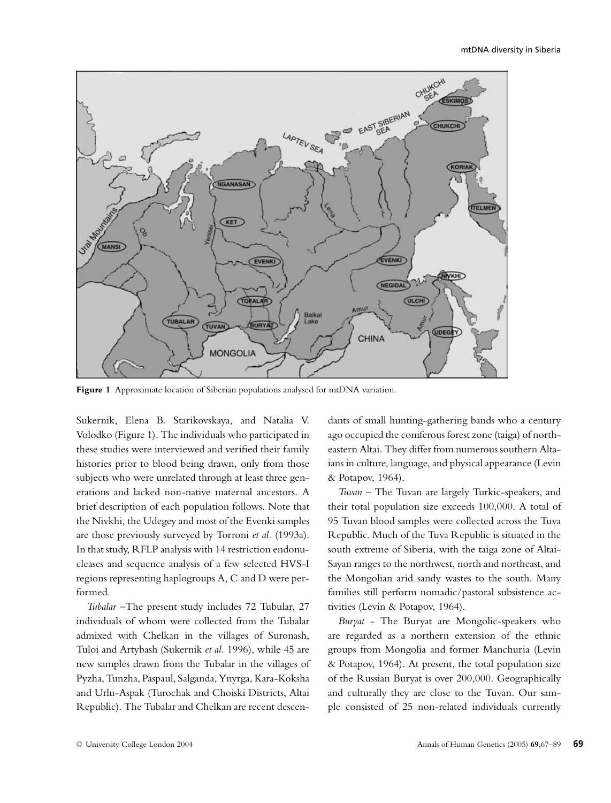

**Figure 1** Approximate location of Siberian populations analysed for mtDNA variation.

Sukernik, Elena B. Starikovskaya, and Natalia V. Volodko (Figure 1). The individuals who participated in these studies were interviewed and verified their family histories prior to blood being drawn, only from those subjects who were unrelated through at least three generations and lacked non-native maternal ancestors. A brief description of each population follows. Note that the Nivkhi, the Udegey and most of the Evenki samples are those previously surveyed by Torroni *et al.* (1993a). In that study, RFLP analysis with 14 restriction endonucleases and sequence analysis of a few selected HVS-I regions representing haplogroups A, C and D were performed.

*Tubalar* –The present study includes 72 Tubular, 27 individuals of whom were collected from the Tubalar admixed with Chelkan in the villages of Suronash, Tuloi and Artybash (Sukernik *et al.* 1996), while 45 are new samples drawn from the Tubalar in the villages of Pyzha, Tunzha, Paspaul, Salganda, Ynyrga, Kara-Koksha and Urlu-Aspak (Turochak and Choiski Districts, Altai Republic). The Tubalar and Chelkan are recent descendants of small hunting-gathering bands who a century ago occupied the coniferous forest zone (taiga) of northeastern Altai. They differ from numerous southern Altaians in culture, language, and physical appearance (Levin & Potapov, 1964).

*Tuvan* – The Tuvan are largely Turkic-speakers, and their total population size exceeds 100,000. A total of 95 Tuvan blood samples were collected across the Tuva Republic. Much of the Tuva Republic is situated in the south extreme of Siberia, with the taiga zone of Altai-Sayan ranges to the northwest, north and northeast, and the Mongolian arid sandy wastes to the south. Many families still perform nomadic/pastoral subsistence activities (Levin & Potapov, 1964).

*Buryat* - The Buryat are Mongolic-speakers who are regarded as a northern extension of the ethnic groups from Mongolia and former Manchuria (Levin & Potapov, 1964). At present, the total population size of the Russian Buryat is over 200,000. Geographically and culturally they are close to the Tuvan. Our sample consisted of 25 non-related individuals currently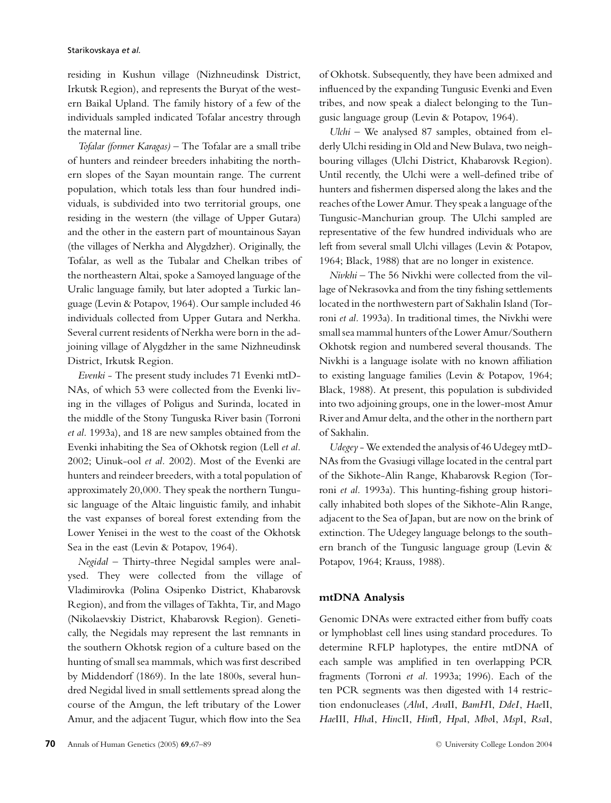residing in Kushun village (Nizhneudinsk District, Irkutsk Region), and represents the Buryat of the western Baikal Upland. The family history of a few of the individuals sampled indicated Tofalar ancestry through the maternal line.

*Tofalar (former Karagas)* – The Tofalar are a small tribe of hunters and reindeer breeders inhabiting the northern slopes of the Sayan mountain range. The current population, which totals less than four hundred individuals, is subdivided into two territorial groups, one residing in the western (the village of Upper Gutara) and the other in the eastern part of mountainous Sayan (the villages of Nerkha and Alygdzher). Originally, the Tofalar, as well as the Tubalar and Chelkan tribes of the northeastern Altai, spoke a Samoyed language of the Uralic language family, but later adopted a Turkic language (Levin & Potapov, 1964). Our sample included 46 individuals collected from Upper Gutara and Nerkha. Several current residents of Nerkha were born in the adjoining village of Alygdzher in the same Nizhneudinsk District, Irkutsk Region.

*Evenki* - The present study includes 71 Evenki mtD-NAs, of which 53 were collected from the Evenki living in the villages of Poligus and Surinda, located in the middle of the Stony Tunguska River basin (Torroni *et al.* 1993a), and 18 are new samples obtained from the Evenki inhabiting the Sea of Okhotsk region (Lell *et al.* 2002; Uinuk-ool *et al.* 2002). Most of the Evenki are hunters and reindeer breeders, with a total population of approximately 20,000. They speak the northern Tungusic language of the Altaic linguistic family, and inhabit the vast expanses of boreal forest extending from the Lower Yenisei in the west to the coast of the Okhotsk Sea in the east (Levin & Potapov, 1964).

*Negidal* – Thirty-three Negidal samples were analysed. They were collected from the village of Vladimirovka (Polina Osipenko District, Khabarovsk Region), and from the villages of Takhta, Tir, and Mago (Nikolaevskiy District, Khabarovsk Region). Genetically, the Negidals may represent the last remnants in the southern Okhotsk region of a culture based on the hunting of small sea mammals, which was first described by Middendorf (1869). In the late 1800s, several hundred Negidal lived in small settlements spread along the course of the Amgun, the left tributary of the Lower Amur, and the adjacent Tugur, which flow into the Sea

of Okhotsk. Subsequently, they have been admixed and influenced by the expanding Tungusic Evenki and Even tribes, and now speak a dialect belonging to the Tungusic language group (Levin & Potapov, 1964).

*Ulchi* – We analysed 87 samples, obtained from elderly Ulchi residing in Old and New Bulava, two neighbouring villages (Ulchi District, Khabarovsk Region). Until recently, the Ulchi were a well-defined tribe of hunters and fishermen dispersed along the lakes and the reaches of the Lower Amur. They speak a language of the Tungusic-Manchurian group. The Ulchi sampled are representative of the few hundred individuals who are left from several small Ulchi villages (Levin & Potapov, 1964; Black, 1988) that are no longer in existence.

*Nivkhi* – The 56 Nivkhi were collected from the village of Nekrasovka and from the tiny fishing settlements located in the northwestern part of Sakhalin Island (Torroni *et al.* 1993a). In traditional times, the Nivkhi were small sea mammal hunters of the Lower Amur/Southern Okhotsk region and numbered several thousands. The Nivkhi is a language isolate with no known affiliation to existing language families (Levin & Potapov, 1964; Black, 1988). At present, this population is subdivided into two adjoining groups, one in the lower-most Amur River and Amur delta, and the other in the northern part of Sakhalin.

*Udegey* - We extended the analysis of 46 Udegey mtD-NAs from the Gvasiugi village located in the central part of the Sikhote-Alin Range, Khabarovsk Region (Torroni *et al.* 1993a). This hunting-fishing group historically inhabited both slopes of the Sikhote-Alin Range, adjacent to the Sea of Japan, but are now on the brink of extinction. The Udegey language belongs to the southern branch of the Tungusic language group (Levin & Potapov, 1964; Krauss, 1988).

#### **mtDNA Analysis**

Genomic DNAs were extracted either from buffy coats or lymphoblast cell lines using standard procedures. To determine RFLP haplotypes, the entire mtDNA of each sample was amplified in ten overlapping PCR fragments (Torroni *et al.* 1993a; 1996). Each of the ten PCR segments was then digested with 14 restriction endonucleases (*Alu*I, *Ava*II, *BamH*I, *DdeI*, *Hae*II, *Hae*III, *Hha*I, *Hin*cII, *Hin*fI*, Hpa*I, *Mbo*I, *Msp*I, *Rsa*I,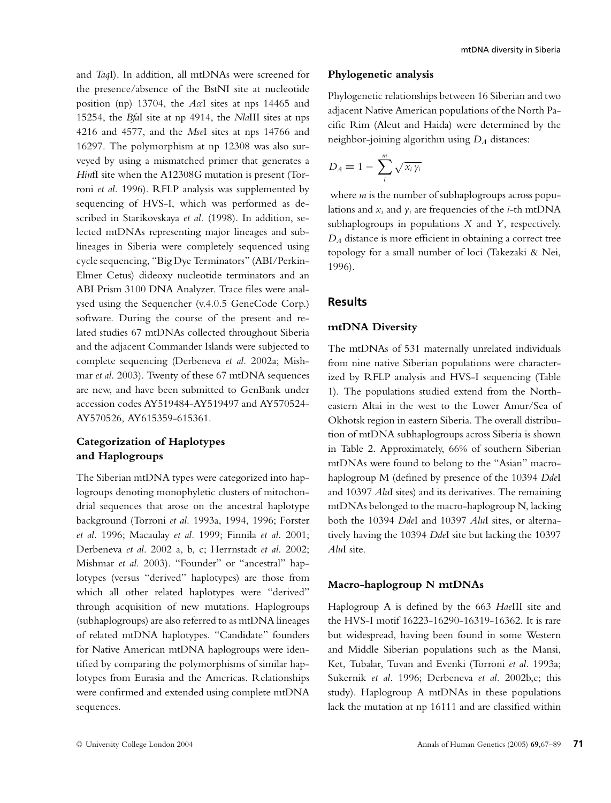and *Taq*I). In addition, all mtDNAs were screened for the presence/absence of the BstNI site at nucleotide position (np) 13704, the *Acc*I sites at nps 14465 and 15254, the *Bfa*I site at np 4914, the *Nla*III sites at nps 4216 and 4577, and the *Mse*I sites at nps 14766 and 16297. The polymorphism at np 12308 was also surveyed by using a mismatched primer that generates a *Hin*fI site when the A12308G mutation is present (Torroni *et al.* 1996). RFLP analysis was supplemented by sequencing of HVS-I, which was performed as described in Starikovskaya *et al.* (1998). In addition, selected mtDNAs representing major lineages and sublineages in Siberia were completely sequenced using cycle sequencing, "Big Dye Terminators" (ABI/Perkin-Elmer Cetus) dideoxy nucleotide terminators and an ABI Prism 3100 DNA Analyzer. Trace files were analysed using the Sequencher (v.4.0.5 GeneCode Corp.) software. During the course of the present and related studies 67 mtDNAs collected throughout Siberia and the adjacent Commander Islands were subjected to complete sequencing (Derbeneva *et al.* 2002a; Mishmar *et al.* 2003). Twenty of these 67 mtDNA sequences are new, and have been submitted to GenBank under accession codes AY519484-AY519497 and AY570524- AY570526, AY615359-615361.

## **Categorization of Haplotypes and Haplogroups**

The Siberian mtDNA types were categorized into haplogroups denoting monophyletic clusters of mitochondrial sequences that arose on the ancestral haplotype background (Torroni *et al.* 1993a, 1994, 1996; Forster *et al.* 1996; Macaulay *et al.* 1999; Finnila *et al.* 2001; Derbeneva *et al*. 2002 a, b, c; Herrnstadt *et al.* 2002; Mishmar *et al.* 2003). "Founder" or "ancestral" haplotypes (versus "derived" haplotypes) are those from which all other related haplotypes were "derived" through acquisition of new mutations. Haplogroups (subhaplogroups) are also referred to as mtDNA lineages of related mtDNA haplotypes. "Candidate" founders for Native American mtDNA haplogroups were identified by comparing the polymorphisms of similar haplotypes from Eurasia and the Americas. Relationships were confirmed and extended using complete mtDNA sequences.

#### **Phylogenetic analysis**

Phylogenetic relationships between 16 Siberian and two adjacent Native American populations of the North Pacific Rim (Aleut and Haida) were determined by the neighbor-joining algorithm using *DA* distances:

$$
D_A = 1 - \sum_{i}^{m} \sqrt{x_i y_i}
$$

where *m* is the number of subhaplogroups across populations and  $x_i$  and  $y_i$  are frequencies of the *i*-th mtDNA subhaplogroups in populations *X* and *Y*, respectively. *DA* distance is more efficient in obtaining a correct tree topology for a small number of loci (Takezaki & Nei, 1996).

#### **Results**

#### **mtDNA Diversity**

The mtDNAs of 531 maternally unrelated individuals from nine native Siberian populations were characterized by RFLP analysis and HVS-I sequencing (Table 1). The populations studied extend from the Northeastern Altai in the west to the Lower Amur/Sea of Okhotsk region in eastern Siberia. The overall distribution of mtDNA subhaplogroups across Siberia is shown in Table 2. Approximately, 66% of southern Siberian mtDNAs were found to belong to the "Asian" macrohaplogroup M (defined by presence of the 10394 *Dde*I and 10397 *Alu*I sites) and its derivatives. The remaining mtDNAs belonged to the macro-haplogroup N, lacking both the 10394 *Dde*I and 10397 *Alu*I sites, or alternatively having the 10394 *Dde*I site but lacking the 10397 *Alu*I site.

#### **Macro-haplogroup N mtDNAs**

Haplogroup A is defined by the 663 *Hae*III site and the HVS-I motif 16223-16290-16319-16362. It is rare but widespread, having been found in some Western and Middle Siberian populations such as the Mansi, Ket, Tubalar, Tuvan and Evenki (Torroni *et al.* 1993a; Sukernik *et al.* 1996; Derbeneva *et al.* 2002b,c; this study). Haplogroup A mtDNAs in these populations lack the mutation at np 16111 and are classified within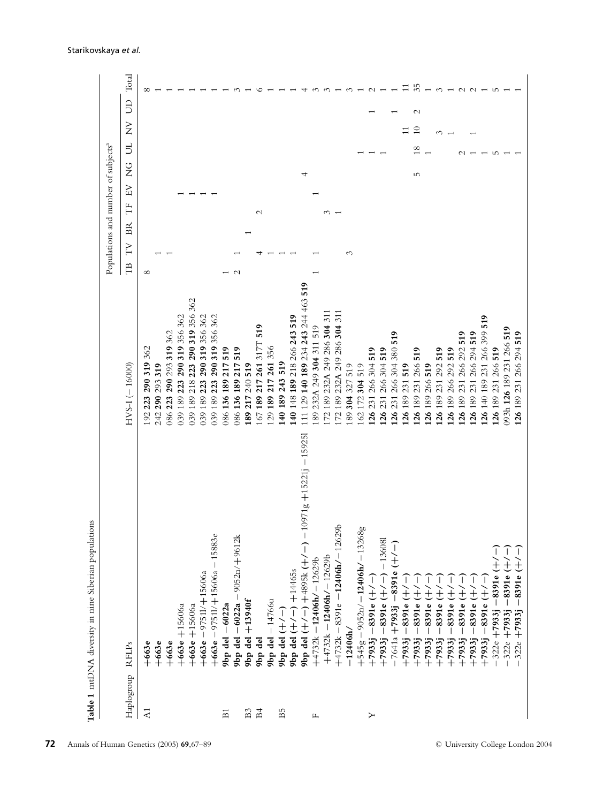|                  |                                                                 |                                                    | Populations and number of subjects <sup>a</sup> |                   |               |   |                                    |        |
|------------------|-----------------------------------------------------------------|----------------------------------------------------|-------------------------------------------------|-------------------|---------------|---|------------------------------------|--------|
| Haplogroup RFLPs |                                                                 | $HVS-1(-16000)$                                    | $_{\rm BR}$<br>YT<br>$\mathbb{E}$               | NH<br>Ë           | $\frac{G}{Z}$ | Б | S<br>$\sum_{i=1}^{n}$              | Total  |
| $\overline{A}$   | $+663e$                                                         | 362<br>290 319<br>223<br>192                       | $\infty$                                        |                   |               |   |                                    | ∝      |
|                  | $+663e$                                                         | 293319<br>290<br>242                               |                                                 |                   |               |   |                                    |        |
|                  | $+663e$                                                         | 319 362<br>290 293<br>223<br>086                   |                                                 |                   |               |   |                                    |        |
|                  | $+663e + 15606a$                                                | 319 356 362<br>290<br>223<br>189<br>039            |                                                 |                   |               |   |                                    |        |
|                  | $+663e + 15606a$                                                | 290 319 356 362<br>218 223<br>189<br>039           |                                                 |                   |               |   |                                    |        |
|                  | $+663e - 97511/ + 15606a$                                       | 319 356 362<br>290<br>223<br>189<br>39             |                                                 |                   |               |   |                                    |        |
|                  | $+663e - 97511/ + 15606a - 15883e$                              | 319 356 362<br>290<br>223<br>189<br>39             |                                                 |                   |               |   |                                    |        |
| $\overline{E}$   | $9bp$ del $-6022a$                                              | 519<br>217<br>136189<br>986                        |                                                 |                   |               |   |                                    |        |
|                  | 9bp del $-6022a - 9052n/ + 9612k$                               | 519<br>217<br>136189<br>986                        | $\mathbf{\sim}$                                 |                   |               |   |                                    |        |
| $_{\rm B3}$      | $9bp$ del $+13940f$                                             | 217 240 519<br>189                                 |                                                 |                   |               |   |                                    |        |
| $_{\rm H}$       | 9bp del                                                         | 519<br>217 261 317T<br>189<br>67                   |                                                 | $\mathbf{\Omega}$ |               |   |                                    |        |
|                  | $9bp$ del $-14766u$                                             | 217 261 356<br>189<br>$\overline{c}$               |                                                 |                   |               |   |                                    |        |
| $_{\rm B5}$      | 9bp del $(+/-$                                                  | 519<br>189 243<br>$\frac{40}{5}$                   |                                                 |                   |               |   |                                    |        |
|                  | $+14465s$<br>$9bp$ del $(+/-)$                                  | 148 189 218 266 243 519<br>$\frac{40}{5}$          |                                                 |                   |               |   |                                    |        |
|                  | $-15925$<br>$10971g + 15221j$<br>9bp del $(+/-)$ +4895k $(+/-)$ | 129 140 189 234 243 244 463 519<br>$\overline{11}$ |                                                 |                   |               |   |                                    |        |
| щ                | $+4732k - 12406h$ / $-12629b$                                   | 232A 249 304 311 519<br>89                         |                                                 |                   |               |   |                                    |        |
|                  | $+4732k - 12406h$ / - 12629b                                    | 189 232A 249 286 304 311<br>72                     |                                                 |                   |               |   |                                    |        |
|                  | $+4732k - 8391e - 12406h/ - 12629b$                             | 189 232A 249 286 304 311<br>72                     |                                                 |                   |               |   |                                    |        |
|                  | $-12406h/$                                                      | 304 327 519<br>89                                  | ↶                                               |                   |               |   |                                    |        |
|                  | $+545g - 9052n/ - 12406h/ - 13268g$                             | 172 304 519<br>62                                  |                                                 |                   |               |   |                                    |        |
| ≻                | $+7933j - 8391e$ $+/-$                                          | 266 304 519<br>231<br>26                           |                                                 |                   |               |   |                                    |        |
|                  | $+7933j - 8391e$ $(+/-)$ $-136081$                              | 266 304 519<br>231<br>26                           |                                                 |                   |               |   |                                    |        |
|                  | $-7641a + 7933j - 8391e (+/-)$                                  | 519<br>266 304 380<br>26231                        |                                                 |                   |               |   |                                    |        |
|                  | ートー<br>$-8391e$<br>$+7933j$                                     | 26 189 231 519                                     |                                                 |                   |               |   |                                    |        |
|                  | $\overline{\phantom{a}}$<br>÷<br>$-8391e$<br>$+7933j$           | 126 189 231 266 519                                |                                                 |                   | 5             | ∞ | $\mathbf{\sim}$<br>$\overline{10}$ | 35     |
|                  | $-8391e$<br>$+7933j$                                            | 126 189 266 519                                    |                                                 |                   |               |   |                                    |        |
|                  | ÷,<br>$-8391e$<br>$+7933j$                                      | 519<br>26 189 231 292                              |                                                 |                   |               |   |                                    |        |
|                  | ŗ,<br>8391e<br>$\overline{\phantom{a}}$<br>$+7933j$             | 519<br>26 189 266 292                              |                                                 |                   |               |   |                                    |        |
|                  | ÷,<br>$-8391e$<br>$+7933j$                                      | 519<br>266 292<br>26 189 231                       |                                                 |                   |               |   |                                    |        |
|                  | $\frac{1}{1}$<br>$-8391e$<br>$+7933j$                           | 519<br>26 189 231 266 294                          |                                                 |                   |               |   |                                    | $\sim$ |
|                  | ートー<br>$-8391e$<br>$+7933j$                                     | 519<br>266 399<br>26 140 189 231                   |                                                 |                   |               |   |                                    |        |
|                  | $-322e + 7933j - 8391e +$                                       | 26 189 231 266 519                                 |                                                 |                   |               | ഥ |                                    | m      |
|                  | $-8391e$ (+)<br>$-322e + 7933j$                                 | 093h 126 189 231 266 519                           |                                                 |                   |               |   |                                    |        |
|                  | $-8391e$ (+/-<br>$322e + 7933j$                                 | 126 189 231 266 294 519                            |                                                 |                   |               |   |                                    |        |
|                  |                                                                 |                                                    |                                                 |                   |               |   |                                    |        |

Table 1 mtDNA diversity in nine Siberian populations **Table 1** mtDNA diversity in nine Siberian populations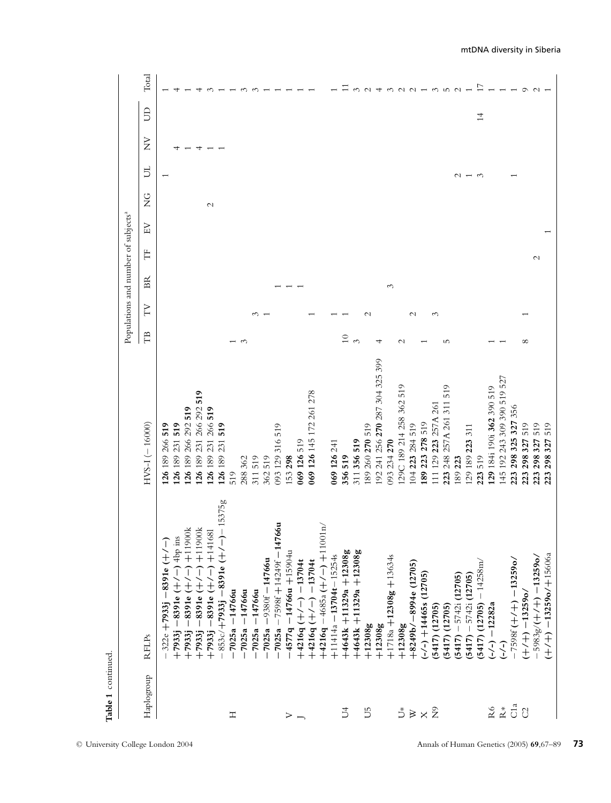| Table 1 continued                       |                                                        |                                 |                       |               |                                                 |               |    |               |                       |   |                |                       |
|-----------------------------------------|--------------------------------------------------------|---------------------------------|-----------------------|---------------|-------------------------------------------------|---------------|----|---------------|-----------------------|---|----------------|-----------------------|
|                                         |                                                        |                                 |                       |               | Populations and number of subjects <sup>a</sup> |               |    |               |                       |   |                |                       |
| Haplogroup                              | RFLPs                                                  | $HVS-1(-16000)$                 | E <sub>1</sub>        | N             | $_{\rm BR}$                                     | Ë             | EV | $\frac{C}{Z}$ | ら                     | È | $\beta$        | Total                 |
|                                         | $322e + 7933j - 8391e$ (+/-)                           | 126 189 266 519                 |                       |               |                                                 |               |    |               |                       |   |                |                       |
|                                         | $+7933$ j $-8391e$ $(+/-)$ 4bp ins                     | 519<br>126 189 231              |                       |               |                                                 |               |    |               |                       |   |                |                       |
|                                         | $+7933j - 8391e$ $(+/-)$ $+11900k$                     | 519<br>126 189 266 292          |                       |               |                                                 |               |    |               |                       |   |                |                       |
|                                         | $+7933$ j $-8391e$ ( $+/-$ ) $+11900k$                 | 519<br>126 189 231 266 292      |                       |               |                                                 |               |    |               |                       | 4 |                |                       |
|                                         | $+7935 - 8391e$ $+/ +141681$                           | 519<br>266<br>126 189 231       |                       |               |                                                 |               |    | $\mathcal{L}$ |                       |   |                |                       |
|                                         | $(+/-)-15375g$<br>$-853c/+7933j -8391e$                | 519<br>231<br>126 189           |                       |               |                                                 |               |    |               |                       |   |                |                       |
| Ξ                                       | $-7025a - 14766u$                                      | 519                             |                       |               |                                                 |               |    |               |                       |   |                |                       |
|                                         | 7025a -14766u                                          | 288 362                         | S                     |               |                                                 |               |    |               |                       |   |                |                       |
|                                         | $7025a - 14766u$                                       | 311519                          |                       | 3             |                                                 |               |    |               |                       |   |                |                       |
|                                         | $7025a - 9380f - 14766u$                               | 362519                          |                       |               |                                                 |               |    |               |                       |   |                |                       |
|                                         | $-7025a - 7598f + 14249f - 14766u$                     | 093 129 316 519                 |                       |               |                                                 |               |    |               |                       |   |                |                       |
| $>$ $-$                                 | $-4577q - 14766u + 15904u$                             | 153 298                         |                       |               |                                                 |               |    |               |                       |   |                |                       |
|                                         | $+4216q$ $(+/-)$ -13704t                               | 069 126 519                     |                       |               |                                                 |               |    |               |                       |   |                |                       |
|                                         | $+4216q$ (+/-) $-13704t$                               | 069 126 145 172 261 278         |                       |               |                                                 |               |    |               |                       |   |                |                       |
|                                         | $\overrightarrow{a}$<br>$+4216q -4685a$ $(+/-)$ +11001 |                                 |                       |               |                                                 |               |    |               |                       |   |                |                       |
|                                         | $+11414a - 13704t - 15254s$                            | 069 126 241                     |                       |               |                                                 |               |    |               |                       |   |                |                       |
| $\overline{D}$                          | $+4643k + 11329a + 12308g$                             | 356519                          | $\overline{10}$       |               |                                                 |               |    |               |                       |   |                |                       |
|                                         | $+4643k + 11329a + 12308g$                             | 311356519                       | $\tilde{\phantom{0}}$ |               |                                                 |               |    |               |                       |   |                | 3                     |
| 5                                       | $+12308g$                                              | 189 260 270 519                 |                       | $\mathcal{C}$ |                                                 |               |    |               |                       |   |                | $\sim$                |
|                                         | $+12308g$                                              | 192 241 256 270 287 304 325 399 | 4                     |               |                                                 |               |    |               |                       |   |                | 4                     |
|                                         | $+1718a + 12308g + 13634s$                             | 093 234 270                     |                       |               | 3                                               |               |    |               |                       |   |                |                       |
| Ď                                       | $+12308g$                                              | 519<br>29C 189 214 258 362      | $\mathcal{C}$         |               |                                                 |               |    |               |                       |   |                | $\sim$                |
|                                         | $+8249b/ -8994e(12705)$                                | 104 223 284 519                 |                       | $\mathcal{L}$ |                                                 |               |    |               |                       |   |                | $\sim$ $\sim$         |
| $\mathbb{R}\times \widehat{\mathbb{Z}}$ | $(-/-)$ +14465s (12705)                                | 189 223 278 519                 |                       |               |                                                 |               |    |               |                       |   |                |                       |
|                                         | $(5417)$ $(12705)$                                     | 111 129 223 257A 261            |                       | 3             |                                                 |               |    |               |                       |   |                | $\tilde{\mathcal{E}}$ |
|                                         | $(5417)$ $(12705)$                                     | 519<br>311<br>223 248 257A 261  | 5                     |               |                                                 |               |    |               |                       |   |                | $\mathbf{L}$          |
|                                         | $(5417) - 5742i(12705)$                                | 189223                          |                       |               |                                                 |               |    |               | $\sim$                |   |                |                       |
|                                         | $(5417) - 5742i(12705)$                                | 29 189 223 311                  |                       |               |                                                 |               |    |               |                       |   |                |                       |
|                                         | $(5417)$ $(12705)$ $-14258$ m/                         | 519<br>223                      |                       |               |                                                 |               |    |               | $\tilde{\mathcal{E}}$ |   | $\overline{1}$ |                       |
| R6                                      | $(-/-)$ -12282a                                        | 129 184i 190i 362 390 519       |                       |               |                                                 |               |    |               |                       |   |                |                       |
| $\stackrel{*}{\simeq}$                  | $\overline{(-)}$                                       | 192 243 309 390 519 527<br>145  |                       |               |                                                 |               |    |               |                       |   |                |                       |
| C1a                                     | $-7598f$ (+/+) $-13259$ o/                             | 298 325 327 356<br>223          |                       |               |                                                 |               |    |               |                       |   |                |                       |
| $\mathcal{C}$                           | $(+/-)$ - 13259o/                                      | 519<br>298327<br>223            | $\infty$              |               |                                                 |               |    |               |                       |   |                | $\circ$               |
|                                         | $5983g/(+/+/ - 13259o/$                                | 519<br>298327<br>223            |                       |               |                                                 | $\mathcal{C}$ |    |               |                       |   |                |                       |
|                                         | $(+/- +)$ -13259o/+15606a                              | 519<br>298327<br>223            |                       |               |                                                 |               |    |               |                       |   |                |                       |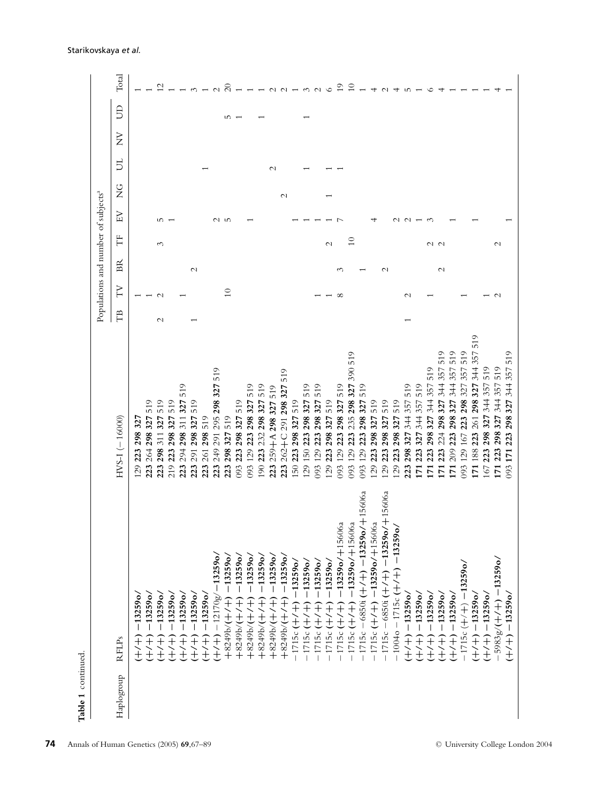|            |                                                                                |                                                                           |               |       | Populations and number of subjects <sup>a</sup> |                 |        |               |                 |                  |                 |                |
|------------|--------------------------------------------------------------------------------|---------------------------------------------------------------------------|---------------|-------|-------------------------------------------------|-----------------|--------|---------------|-----------------|------------------|-----------------|----------------|
| Haplogroup | <b>RFLPs</b>                                                                   | $HVS-1(-16000)$                                                           | TΒ            | NL    | $_{\rm BR}$                                     | Ë               | EV     | $\frac{G}{Z}$ | 5               | $\breve{\Sigma}$ | $\mathbf{B}$    | Total          |
|            | $-13259$ o<br>ディー                                                              | 32<br>298<br>223<br>$\overline{29}$                                       |               |       |                                                 |                 |        |               |                 |                  |                 |                |
|            | $-13259$ o<br>$+$ $+$                                                          | 519<br>327<br>298<br>264<br>223                                           |               |       |                                                 |                 |        |               |                 |                  |                 |                |
|            | $-13259$ o<br>$^{+}$<br>$\widetilde{+}$                                        | 519<br>327<br>311<br>298<br>223                                           | $\mathcal{C}$ |       |                                                 | 3               | m      |               |                 |                  |                 |                |
|            | 132590<br>$\overline{\phantom{a}}$<br>$^{+}$<br>¥                              | 519<br>327<br>298<br>223<br>219                                           |               |       |                                                 |                 |        |               |                 |                  |                 |                |
|            | 132590/<br>$\overline{\phantom{a}}$<br>$^+$<br>主                               | 519<br>327<br>311<br>298<br>294<br>23                                     |               |       |                                                 |                 |        |               |                 |                  |                 |                |
|            | 132590/<br>$\overline{\phantom{a}}$<br>$\frac{+}{+}$                           | 519<br>327<br>298<br>291<br>223                                           |               |       | $\mathcal{L}$                                   |                 |        |               |                 |                  |                 |                |
|            | $-13259$ o<br>ディー                                                              | 519<br>298<br>261<br>223                                                  |               |       |                                                 |                 |        |               |                 |                  |                 |                |
|            | $-13259$ o<br>$-12170g/$<br>$\begin{matrix} +\\ +\\ + \end{matrix}$            | 519<br>298327<br>295<br>291<br>249<br>223                                 |               |       |                                                 |                 |        |               |                 |                  |                 |                |
|            | $-13259$ o<br>$\frac{1}{2}$<br>$+52496(1)$                                     | 519<br>327<br>298<br>223                                                  |               | $\Xi$ |                                                 |                 | u w    |               |                 |                  | $\overline{10}$ | $\overline{c}$ |
|            | $-13259$ o.<br>$+8249b/$                                                       | 519<br>327<br>298<br>223<br>93                                            |               |       |                                                 |                 |        |               |                 |                  |                 |                |
|            | $-13259$ o.<br>ť<br>$+8249b/$                                                  | 519<br>298327<br>223<br>129<br>093                                        |               |       |                                                 |                 |        |               |                 |                  |                 |                |
|            | $-13259$ o<br>ť<br>$+8249b/$                                                   | 519<br>298327<br>232<br>223<br>190                                        |               |       |                                                 |                 |        |               |                 |                  |                 |                |
|            | $-13259$ o<br>ť<br>$+8249b/$                                                   | 519<br>259+A 298 327<br>223                                               |               |       |                                                 |                 |        |               | $\mathbf{\sim}$ |                  |                 | $\sim$         |
|            | $-13259$ o<br>ť<br>$+8249b/$                                                   | 519<br>327<br>298<br>291<br>$262 + C$<br>223                              |               |       |                                                 |                 |        | $\mathcal{L}$ |                 |                  |                 | $\sim$         |
|            | 132590<br>$-1715c$                                                             | 519<br>298 327<br>223<br>50                                               |               |       |                                                 |                 |        |               |                 |                  |                 |                |
|            | $-13259$ o<br>$\ddagger$<br>$\ddot{}$<br>$-1715c$                              | 519<br>327<br>298<br>150 223<br>29                                        |               |       |                                                 |                 |        |               |                 |                  |                 | $\sim$         |
|            | $-13259$ o<br>$\pm$<br>$\ddot{}$<br>$-1715c$                                   | 519<br>298327<br>223<br>129<br>93                                         |               |       |                                                 |                 |        |               |                 |                  |                 | $\sim$         |
|            | $-13259$ o<br>$\,$<br>ť<br>1715c                                               | 519<br>327<br>298<br>223<br>29                                            |               |       |                                                 | $\mathcal{C}$   |        |               |                 |                  |                 |                |
|            | $-13259$ o/ $+15606a$<br>$^{+}$<br>t<br>1715c                                  | 519<br>327<br>298<br>129 223<br>560                                       |               |       | ∾                                               |                 |        |               |                 |                  |                 |                |
|            | $-13259$ o/ $+15606a$<br>$\begin{array}{c} + \ + \ + \ + \end{array}$<br>1715c | 519<br>390<br>298 327<br>235<br>223<br>129<br>93                          |               |       |                                                 | $\approx$       |        |               |                 |                  |                 | $\tilde{c}$    |
|            | $1715c - 6850i$ ( $+7$ ) $-13259o/$ $+15606a$                                  | 519<br>327<br>298.<br>223<br>129<br>093                                   |               |       |                                                 |                 |        |               |                 |                  |                 |                |
|            | $-1715c$ (+/+) $-13259o/+15606a$                                               | 519<br>327<br>298<br>223<br>29                                            |               |       |                                                 |                 |        |               |                 |                  |                 | 4              |
|            | $+15606a$<br>$-1715c - 6850i$ (+/+) $-13259$ o/                                | 519<br>327<br>298<br>223<br>29                                            |               |       | $\mathcal{C}$                                   |                 |        |               |                 |                  |                 |                |
|            | $-13259$<br>$-10040 - 1715c$ ( $+/-$ )                                         | 519<br>327<br>298<br>223<br>29                                            |               |       |                                                 |                 |        |               |                 |                  |                 |                |
|            | $-13259$ o/<br>$\begin{matrix} + \\ + \end{matrix}$                            | 519<br>357<br>344<br>327<br>298<br>23                                     |               |       |                                                 |                 | $\sim$ |               |                 |                  |                 |                |
|            | $-13259$ o<br>一十八十                                                             | 519<br>357<br>344<br>327<br>223<br>$\overline{5}$                         |               |       |                                                 |                 |        |               |                 |                  |                 |                |
|            | $-13259$ o<br>ディー                                                              | 519<br>357<br>344<br>327<br>298<br>223<br>$\overline{5}$                  |               |       |                                                 | $\sim$ $\sim$   |        |               |                 |                  |                 |                |
|            | $-13259$ o<br>ディー                                                              | $\frac{1}{5}$<br>357<br>344<br>327<br>298<br>224<br>223<br>$\overline{5}$ |               |       | $\mathcal{L}$                                   |                 |        |               |                 |                  |                 |                |
|            | $-13259$ o/<br>$\begin{matrix} +\\ +\\ + \end{matrix}$                         | 519<br>344 357<br>327<br>298<br>223<br>209<br>$\overline{1}$              |               |       |                                                 |                 |        |               |                 |                  |                 |                |
|            | $-1715c$ ( $+/-$ ) $-13259$ o/                                                 | ਼<br>$\overline{5}$<br>357<br>327<br>298<br>223<br>167.<br>129<br>560     |               |       |                                                 |                 |        |               |                 |                  |                 |                |
|            | $+/-$ + $-13259$ o                                                             | 519<br>357<br>344<br>327<br>298:<br>261<br>223<br>188<br>$\overline{1}$   |               |       |                                                 |                 |        |               |                 |                  |                 |                |
|            | $(+/-)$ -13259o/                                                               | 519<br>357<br>344<br>327<br>298<br>223<br>167                             |               |       |                                                 |                 |        |               |                 |                  |                 |                |
|            | $5983g/(+/-)$ - 132590/                                                        | 519<br>357<br>327 344<br>298<br>223<br>171                                |               |       |                                                 | $\mathbf{\sim}$ |        |               |                 |                  |                 |                |
|            | $(+/-)$ - 13259o/                                                              | 51<br>327 344 357<br>298<br>223<br>171<br>093                             |               |       |                                                 |                 |        |               |                 |                  |                 |                |

#### Starikovskaya *et al.*

**74** Annals of Human Genetics (2005) **69**,67–89 C University College London 2004

**Table 1** continued.

Table 1 continued.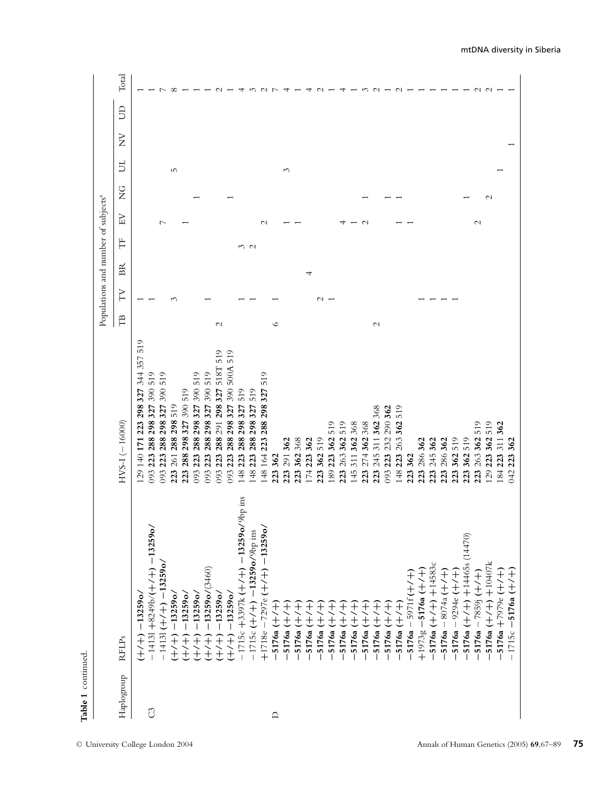|              |                                                        |                                                          |                |        | Populations and number of subjects <sup>a</sup> |     |                    |               |     |                                                |              |        |
|--------------|--------------------------------------------------------|----------------------------------------------------------|----------------|--------|-------------------------------------------------|-----|--------------------|---------------|-----|------------------------------------------------|--------------|--------|
| Haplogoup    | <b>RFLPs</b>                                           | $HVS-I$ (-16000)                                         | F <sub>B</sub> | YT     | $_{\rm BR}$                                     | Ë   | KH                 | $\frac{C}{Z}$ | 5   | $\rm \stackrel{\textstyle >}{\textstyle \sim}$ | $\mathbf{B}$ | Total  |
|              | $(+/-) - 13259$ o/                                     | 519<br>357<br>344<br>327<br>298<br>223<br>171<br>129 140 |                |        |                                                 |     |                    |               |     |                                                |              |        |
| $\mathbb{C}$ | $-14131 + 8249b/(+/+) - 13255$                         | 519<br>390<br>298327<br>288<br>223<br>093                |                |        |                                                 |     |                    |               |     |                                                |              |        |
|              | $-14131 (+7) - 132590$                                 | 519<br>390<br>298327<br>288<br>223<br>093                |                |        |                                                 |     |                    |               |     |                                                |              |        |
|              | $(+/-) - 13259$ o/                                     | 519<br>298<br>288<br>261<br>223                          |                | $\sim$ |                                                 |     |                    |               | LO. |                                                |              |        |
|              | $-13259$ o/<br>$+/-$                                   | 519<br>327 390<br>298<br>288<br>223                      |                |        |                                                 |     |                    |               |     |                                                |              |        |
|              | $-13259$ o/<br>$\begin{matrix} +\\ +\\ + \end{matrix}$ | 519<br>390<br>298327<br>288<br>223<br>093                |                |        |                                                 |     |                    |               |     |                                                |              |        |
|              | $-13259$ o/ $(3460)$<br>$+/-$                          | 519<br>390<br>298327<br>288<br>223<br>093                |                |        |                                                 |     |                    |               |     |                                                |              |        |
|              | $+/-$ +) $-13259$ o                                    | 519<br>518T<br>327<br>298<br>291<br>288<br>223<br>093    | $\mathcal{L}$  |        |                                                 |     |                    |               |     |                                                |              |        |
|              | $+/-$ + (+) $-13259$ o/                                | 519<br>500A<br>390<br>327<br>298<br>288<br>223<br>093    |                |        |                                                 |     |                    |               |     |                                                |              |        |
|              | $-1715c + 3397k (+/+) - 13259o/9bp$ ins                | 519<br>327<br>298:<br>288<br>223<br>148                  |                |        |                                                 |     |                    |               |     |                                                |              |        |
|              | S<br>$-1715c$ (+/+) $-13259o/9bp$ ir                   | 519<br>327<br>298<br>288<br>223<br>148                   |                |        |                                                 | w u |                    |               |     |                                                |              |        |
|              | $+1718e - 7297e + 1$ + 13259                           | $\frac{1}{5}$<br>327<br>288 298<br>223<br>148 164        |                |        |                                                 |     | $\scriptstyle\sim$ |               |     |                                                |              |        |
| $\Box$       | $-5176a (+/+)$                                         | 362<br>223                                               | ७              |        |                                                 |     |                    |               |     |                                                |              |        |
|              | キヘナ<br>$-5176a$                                        | 291 362<br>223                                           |                |        |                                                 |     |                    |               | 3   |                                                |              |        |
|              | ディナ<br>$-5176a$                                        | 368<br>362<br>223                                        |                |        |                                                 |     |                    |               |     |                                                |              |        |
|              | —<br>√<br>ť<br>$-5176a$                                | 362<br>223<br>174                                        |                |        |                                                 |     |                    |               |     |                                                |              |        |
|              | Ŧ<br>ť<br>$-5176a$                                     | 519<br>362<br>223                                        |                | $\sim$ |                                                 |     |                    |               |     |                                                |              |        |
|              | $\pm$<br>5176a                                         | 519<br>362<br>223<br>189                                 |                |        |                                                 |     |                    |               |     |                                                |              |        |
|              | $\frac{1}{\sqrt{2}}$<br>5176a                          | 519<br>362<br>263<br>223                                 |                |        |                                                 |     |                    |               |     |                                                |              |        |
|              | Ŧ<br>5176a                                             | 368<br>362<br>311<br>145                                 |                |        |                                                 |     |                    |               |     |                                                |              |        |
|              | Ŧ<br>$\hat{+}$<br>5176a                                | 368<br>362<br>274<br>223                                 |                |        |                                                 |     |                    |               |     |                                                |              |        |
|              | F<br>£<br>5176a                                        | 368<br>362<br>311<br>245<br>223                          | $\mathcal{L}$  |        |                                                 |     |                    |               |     |                                                |              |        |
|              | $\widehat{+}$<br>È<br>5176a                            | 290 362<br>232<br>223<br>093                             |                |        |                                                 |     |                    |               |     |                                                |              |        |
|              | $5176a (+/+)$                                          | 519<br>362<br>263<br>223<br>148                          |                |        |                                                 |     |                    |               |     |                                                |              |        |
|              | $-5971f(+/+)$<br>$-5176a$                              | 362<br>223                                               |                |        |                                                 |     |                    |               |     |                                                |              |        |
|              | $+1973g - 5176a + 7$                                   | 286 362<br>223                                           |                |        |                                                 |     |                    |               |     |                                                |              |        |
|              | 5176a $(+/-)$ +14583c                                  | 245 362<br>223                                           |                |        |                                                 |     |                    |               |     |                                                |              |        |
|              | 5176a $-8074a$ (+/+)                                   | 286 362<br>223                                           |                |        |                                                 |     |                    |               |     |                                                |              |        |
|              | 5176a - 9294e (+/+)                                    | 519<br>362<br>223                                        |                |        |                                                 |     |                    |               |     |                                                |              |        |
|              | 5176a $(+/-)$ +14465s (14470                           | 519<br>362<br>223                                        |                |        |                                                 |     |                    |               |     |                                                |              |        |
|              | 5176a $-7859$ j ( $+/-$ )                              | 519<br>362<br>263<br>223                                 |                |        |                                                 |     | $\mathcal{L}$      |               |     |                                                |              | $\sim$ |
|              | 5176a ( $+/+)$ ) +10407k                               | 519<br>362<br>223<br>129                                 |                |        |                                                 |     |                    | $\sim$        |     |                                                |              | $\sim$ |
|              | 5176a +7979e (+/+)                                     | 362<br>311<br>223<br>184                                 |                |        |                                                 |     |                    |               |     |                                                |              |        |
|              | $1715c - 5176a (+7+)$                                  | 362<br>223<br><b>342</b>                                 |                |        |                                                 |     |                    |               |     |                                                |              |        |

Table 1 continued. **Table 1** continued.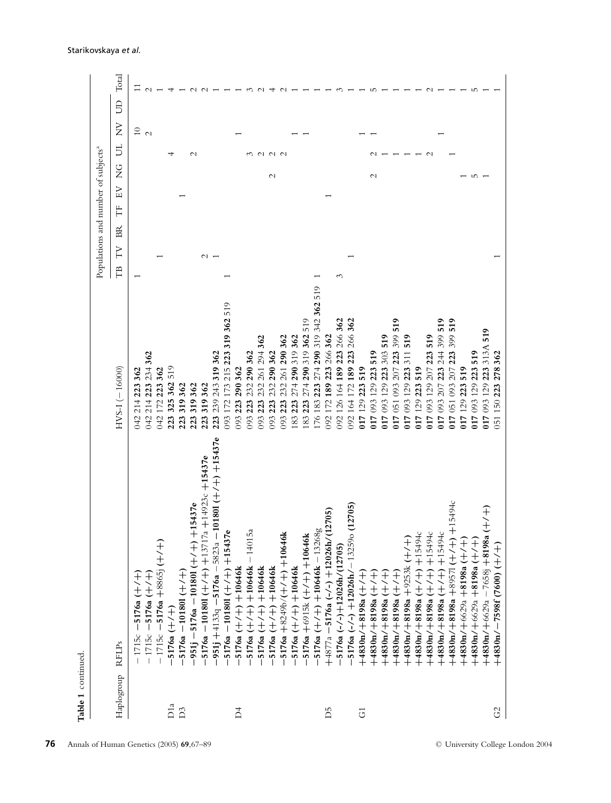|                  |                                                   |                                                        | Populations and number of subjects <sup>a</sup> |         |                                |                |   |       |
|------------------|---------------------------------------------------|--------------------------------------------------------|-------------------------------------------------|---------|--------------------------------|----------------|---|-------|
| Haplogroup RFLPs |                                                   | $HVS-1(-16000)$                                        | ВŘ<br>N<br>Ê                                    | EV<br>Ë | 5<br>$\frac{G}{Z}$             | $\overline{z}$ | S | Total |
|                  | $-1715c - 5176a (+/+)$                            | 223 362<br>214<br>042                                  |                                                 |         |                                | $\frac{1}{2}$  |   |       |
|                  | $-1715c - 5176a (+/+)$                            | 214 223 234 362<br>042                                 |                                                 |         |                                |                |   |       |
|                  | $-1715c - 5176a + 8865j (+7+)$                    | 223 362<br>172<br>042                                  |                                                 |         |                                |                |   |       |
| D <sub>1a</sub>  | $5176a (+/+)$                                     | 519<br>362<br>325<br>223                               |                                                 |         |                                |                |   |       |
| D <sub>3</sub>   | $5176a - 101801 (+7+)$                            | 319362<br>223                                          |                                                 |         |                                |                |   |       |
|                  | 951j --5176a -- 101801 (+/+) +15437e              | 319362<br>223                                          |                                                 |         | $\mathbf{\sim}$                |                |   |       |
|                  | 5176a - 101801 (+/+) +13717a +14923c +15437e      | 319362<br>223                                          | $\sim$                                          |         |                                |                |   |       |
|                  | 951j +4133q -5176a - 5823a - 101801 (+/+) +15437e | 243 319 362<br>239<br>223                              |                                                 |         |                                |                |   |       |
|                  | 5176a - 101801 (+/+) + 15437e                     | 519<br>173 215 223 319 362<br>172<br>093               |                                                 |         |                                |                |   |       |
| $\overline{D}4$  | 5176a $(+/-)$ +10646k                             | 290 362<br>223<br>093                                  |                                                 |         |                                |                |   |       |
|                  | 5176a ( $+/-$ ) $+10646k - 14015$                 | 290 362<br>232<br>223<br>093                           |                                                 |         |                                |                |   |       |
|                  | 5176a $(+/-+)$ +10646k                            | 362<br>261 294<br>232<br>223<br>093                    |                                                 |         | $\sim$                         |                |   |       |
|                  | 5176a $(+/-)$ +10646k                             | 290 362<br>232<br>223<br>093                           |                                                 |         | $\sim$ $\sim$<br>$\mathcal{L}$ |                |   |       |
|                  | 5176a +8249b/(+/+) +10646k                        | 290 362<br>261<br>232<br>223<br>093                    |                                                 |         |                                |                |   |       |
|                  | 5176a $(+/-)$ +10646k                             | 319 362<br>290<br>274<br>223<br>83                     |                                                 |         |                                |                |   |       |
|                  | 5176a +6915k (+/+) +10646k                        | 319 362 519<br>274 290<br>223<br>83                    |                                                 |         |                                |                |   |       |
|                  | ĢΟ<br>5176a $(+/-)$ +10646k -13268                | 519<br>342 362<br>319<br>290.<br>223 274<br>183<br>76  |                                                 |         |                                |                |   |       |
| D5               | 12705<br>$+4877a - 5176a (-/-) + 12026h/$         | 266362<br>223<br>189<br>172<br>092                     |                                                 |         |                                |                |   |       |
|                  | $-5176a$ (-/-) $+12026h/(12705)$                  | 266 362<br>223<br>189<br>164<br>126<br>092             | S                                               |         |                                |                |   |       |
|                  | (12705)<br>$-5176a$ (-/-) $+12026h$ /-132590      | 362<br>266<br>223<br>189<br>172<br>164<br>092          |                                                 |         |                                |                |   |       |
| $\vec{c}$        | $+1/7$ = 8000 $+1/1$                              | 519<br>223<br>129<br>017                               |                                                 |         |                                |                |   |       |
|                  | $(+/-+)$ $88018+/-0004+$                          | 519<br>129 223<br>093<br>117                           |                                                 |         | $\mathcal{C}$                  |                |   |       |
|                  | ディエ<br>$+4830n/+8198a$                            | 519<br>303<br>129 223<br>093<br>117                    |                                                 |         |                                |                |   |       |
|                  | 一十一<br>$+4830n/+8198a$                            | $\frac{519}{2}$<br>399<br>223<br>093 207<br>051<br>117 |                                                 |         |                                |                |   |       |
|                  | (十<br>十<br>十<br>$+9253k$<br>$+4830n/ +8198a$      | 519<br>311<br>129 223<br>093<br>117                    |                                                 |         |                                |                |   |       |
|                  | $+7+15494$<br>$+4830n/+8198a$                     | 519<br>223<br>129<br>117                               |                                                 |         |                                |                |   |       |
|                  | $+15494$<br>$+4830n/+8198a$                       | 519<br>223<br>207<br>129<br>093<br>117                 |                                                 |         |                                |                |   |       |
|                  | $+15494$<br>$+4830n/+8198a$                       | 519<br>399<br>244<br>223<br>207<br>093<br>117          |                                                 |         |                                |                |   |       |
|                  | +15494c<br>$(+89571 (+/+)$<br>$+4830n/+8198a$ -   | 519<br>399<br>223<br>093207<br>051<br>117              |                                                 |         |                                |                |   |       |
|                  | 一十八士<br>$+4830n/+6629a +8198a$                    | 519<br>223<br>129<br>017                               |                                                 |         |                                |                |   |       |
|                  | キトナ<br>$+4830n/+6629a +8198a$                     | 223 519<br>129<br>017 093                              |                                                 |         | m                              |                |   |       |
|                  | $+4830n/+6629a - 7658j + 8198a$                   | 519<br>313A<br>223<br>129<br>093<br>017                |                                                 |         |                                |                |   |       |
| G                | $+4830n/ -7598f(7600)$ (+/+)                      | 362<br>278<br>223<br>150<br>051                        |                                                 |         |                                |                |   |       |

#### Starikovskaya *et al.*

**76** Annals of Human Genetics (2005) **69**,67–89 C University College London 2004

**Table 1** continued.

Table 1 continued.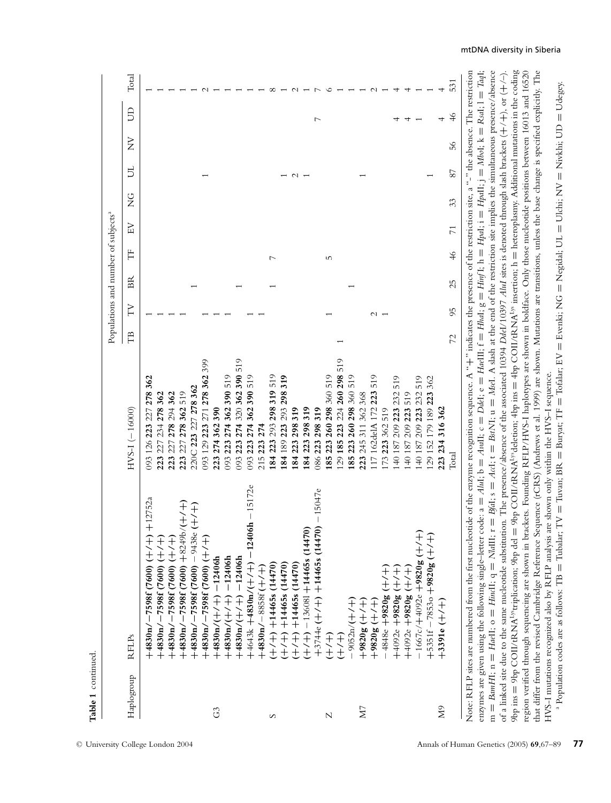|            |                                                                                                                                                                                                                                                                                                                                                                                                                                                                    |                                                                                                                                         |    |    |    | Populations and number of subjects <sup>a</sup> |                 |               |        |                |                         |       |
|------------|--------------------------------------------------------------------------------------------------------------------------------------------------------------------------------------------------------------------------------------------------------------------------------------------------------------------------------------------------------------------------------------------------------------------------------------------------------------------|-----------------------------------------------------------------------------------------------------------------------------------------|----|----|----|-------------------------------------------------|-----------------|---------------|--------|----------------|-------------------------|-------|
| Haplogroup | <b>RFLPs</b>                                                                                                                                                                                                                                                                                                                                                                                                                                                       | $HVS-1(-16000)$                                                                                                                         | Ê  | F  | Ã  | Ë                                               | EV              | $\frac{C}{Z}$ | Б      | $\overline{z}$ | $\overline{\mathsf{B}}$ | Total |
|            | $-12752a$<br>$+4830n/ -7598f(7600)$                                                                                                                                                                                                                                                                                                                                                                                                                                | 093 126 223 227 278 362                                                                                                                 |    |    |    |                                                 |                 |               |        |                |                         |       |
|            | $+4830n/ -7598f(7600)$ $(+/-)$                                                                                                                                                                                                                                                                                                                                                                                                                                     | 223 227 234 278 362                                                                                                                     |    |    |    |                                                 |                 |               |        |                |                         |       |
|            | $+4830n/ -7598f(7600)$ (+/+)                                                                                                                                                                                                                                                                                                                                                                                                                                       | 223 227 278 294 362                                                                                                                     |    |    |    |                                                 |                 |               |        |                |                         |       |
|            | $+4830n/ -7598f(7600) +8249b$                                                                                                                                                                                                                                                                                                                                                                                                                                      | 223 227 278 362 519                                                                                                                     |    |    |    |                                                 |                 |               |        |                |                         |       |
|            | $+4830n$ /-7598f (7600) - 9438e                                                                                                                                                                                                                                                                                                                                                                                                                                    | 220C 223 227 278 362                                                                                                                    |    |    |    |                                                 |                 |               |        |                |                         |       |
|            | $+4830n/ -7598f(7600)$ (+/+)                                                                                                                                                                                                                                                                                                                                                                                                                                       | 399<br>093 129 223 271 278 362                                                                                                          |    |    |    |                                                 |                 |               |        |                |                         |       |
| G3         | $+4830n/(+/+) -12406h$                                                                                                                                                                                                                                                                                                                                                                                                                                             | 223 274 362 390                                                                                                                         |    |    |    |                                                 |                 |               |        |                |                         |       |
|            | $+4830n/(+/+) -12406h$                                                                                                                                                                                                                                                                                                                                                                                                                                             | 274 362 390 519<br>093 223                                                                                                              |    |    |    |                                                 |                 |               |        |                |                         |       |
|            | $+4830n/(+/-) - 12406h$                                                                                                                                                                                                                                                                                                                                                                                                                                            | 519<br>274 320 362 390<br>223<br>560                                                                                                    |    |    |    |                                                 |                 |               |        |                |                         |       |
|            | 15172e<br>124061<br>$+4643k + 4830n/$                                                                                                                                                                                                                                                                                                                                                                                                                              | 519<br>362390<br>274<br>223<br>093                                                                                                      |    |    |    |                                                 |                 |               |        |                |                         |       |
|            | $+4830n/ -8858f$ ( $+/-$                                                                                                                                                                                                                                                                                                                                                                                                                                           | 215 223                                                                                                                                 |    |    |    |                                                 |                 |               |        |                |                         |       |
| S          | $+/- +$ ) $+14465s$ (14470)                                                                                                                                                                                                                                                                                                                                                                                                                                        | 293 298 319 519<br>223<br>84                                                                                                            |    |    |    |                                                 |                 |               |        |                |                         |       |
|            | $+/- +$ ) $+14465s$ (14470)                                                                                                                                                                                                                                                                                                                                                                                                                                        | 319<br>293 298<br>223<br>84 189                                                                                                         |    |    |    |                                                 |                 |               |        |                |                         |       |
|            | $+7+$ ) $+14465s$ (14470)                                                                                                                                                                                                                                                                                                                                                                                                                                          | 319<br>298<br>84 223                                                                                                                    |    |    |    |                                                 |                 |               | $\sim$ |                |                         |       |
|            | $+/- +$ ) $- 136081 + 14465s$ (14470)                                                                                                                                                                                                                                                                                                                                                                                                                              | 298319<br>84 223                                                                                                                        |    |    |    |                                                 |                 |               |        |                |                         |       |
|            | $-15047e$<br>$+3744e$ (+/+) $+14465s$ (14470)                                                                                                                                                                                                                                                                                                                                                                                                                      | 319<br>298<br>86 223                                                                                                                    |    |    |    |                                                 |                 |               |        |                | $\overline{ }$          |       |
| N          | 一十八十                                                                                                                                                                                                                                                                                                                                                                                                                                                               | 519<br>260 298 360<br>85 223                                                                                                            |    |    |    | S                                               |                 |               |        |                |                         |       |
|            | $(+/-+)$                                                                                                                                                                                                                                                                                                                                                                                                                                                           | 224 260 298 519<br>223<br>185<br>29                                                                                                     |    |    |    |                                                 |                 |               |        |                |                         |       |
|            | $-9052n/(+/-)$                                                                                                                                                                                                                                                                                                                                                                                                                                                     | 519<br>298 360<br>260<br>185 223                                                                                                        |    |    |    |                                                 |                 |               |        |                |                         |       |
| ΣŊ         | $(+/- + 0.8008 +$                                                                                                                                                                                                                                                                                                                                                                                                                                                  | 362 368<br>245 311<br>223                                                                                                               |    |    |    |                                                 |                 |               |        |                |                         |       |
|            | $(+/- + 98205$                                                                                                                                                                                                                                                                                                                                                                                                                                                     | 519<br>223<br>172<br>17 162delA                                                                                                         |    |    |    |                                                 |                 |               |        |                |                         |       |
|            | ディナ<br>$-4848e + 9820g$                                                                                                                                                                                                                                                                                                                                                                                                                                            | 519<br>362<br>73 223                                                                                                                    |    |    |    |                                                 |                 |               |        |                |                         |       |
|            | $(+/- + )$ 80200+ +2600+                                                                                                                                                                                                                                                                                                                                                                                                                                           | 519<br>223 232<br>209:<br>40 187                                                                                                        |    |    |    |                                                 |                 |               |        |                |                         |       |
|            | (十/十) 80286+ a2600+                                                                                                                                                                                                                                                                                                                                                                                                                                                | 519<br>209 223<br>187                                                                                                                   |    |    |    |                                                 |                 |               |        |                |                         |       |
|            | Ŧ<br>$-1667c/+4092e+9820g$                                                                                                                                                                                                                                                                                                                                                                                                                                         | 209 223 232 519<br>187                                                                                                                  |    |    |    |                                                 |                 |               |        |                |                         |       |
|            | Ŧ<br>$+5351f - 7853o + 9820g$ (+                                                                                                                                                                                                                                                                                                                                                                                                                                   | 179 189 223 362<br>29 152                                                                                                               |    |    |    |                                                 |                 |               |        |                |                         |       |
| QM         | $+3391e$ ( $+/-$                                                                                                                                                                                                                                                                                                                                                                                                                                                   | 316 362<br>223 234                                                                                                                      |    |    |    |                                                 |                 |               |        |                |                         |       |
|            |                                                                                                                                                                                                                                                                                                                                                                                                                                                                    | Total                                                                                                                                   | 27 | 95 | 25 | $\frac{4}{6}$                                   | $\overline{71}$ | 33            | 87     | 56             | 46                      | 531   |
|            | Note: RFLP sites are numbered from the first nucleotide of the enzyme recognition sequence. A "++" indicates the presence of the restriction site, a "-" the absence. The restriction<br>enzymes are given using the following single-letter code: $a = A l u l$ ; $b = A u l l$ ; $c = D d e l$ ; $e = H d e l$ ]; $f = H l u d$ ; $g = H l u f$ ; $h = H p d l$ ; $i = H p d l$ ; $j = M b o l$ ; $k =$<br>$m =$ BamHI; $n =$ HaeII; $o =$ HindI; $q =$ NaIII; r | = $Bfdi$ ; s = $Adci$ ; t = $Bx/Ni$ ; u = $Msei$ . A slash at the end of the restriction site implies the simultaneous presence/absence |    |    |    |                                                 |                 |               |        |                | $Real$ ; $l =$          | TaqI; |
|            | 9bp ins = 9bp COII/RANA <sup>19</sup> rtriplication; 9bp del = 9bp COII/RANA <sup>19</sup> deletion; 4bp ins = 4bp COII/RANA <sup>19</sup> insertion; h = heteroplasmy. Additional mutations in the coding<br>of a linked site due to the same nucleotide substitution. The presence/absence of the associated 10394 Ddd/10397 Alul sites is denoted through slash brackets (+/+), or (+/-)                                                                        |                                                                                                                                         |    |    |    |                                                 |                 |               |        |                |                         |       |

HVS-I mutations recognized also by RFLP analysis are shown only within the HVS–I sequence.  $^{\rm a}$  Population codes are as follows: TB = Tubalar; TV = Tuvan; BR = Buryat; TF = Tofala **=** Tubalar; TV **=** Tuvan; BR **=** Buryat; TF **=** Tofalar; EV Evenki; NG **=** Negidal; UL  $=$  Ulchi;  $NV$ **=** Nivkhi; UD **=** Udegey.

that differ from the revised Cambridge Reference Sequence (rCRS) (Andrews et al. 1999) are shown. Mutations are transitions, unless the base change is specified explicitly. The

that differ from the revised Cambridge Reference Sequence (rCRS) (Andrews et al. 1999) are shown. Mutations are transitions, unless the base change is specified explicitly. The

region verified through sequencing are shown in brackets. Founding RFLP/HVS-I haplotypes are shown in boldface. Only those nucleotide positions bet

**Table 1** continued.

Table 1 continued.

#### mtDNA diversity in Siberia

ween 16013 and 16520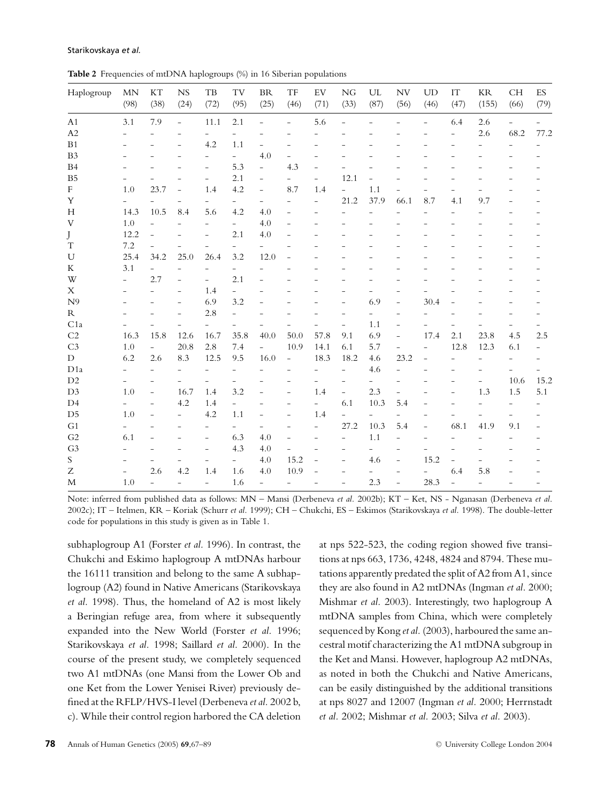**Table 2** Frequencies of mtDNA haplogroups (%) in 16 Siberian populations

| Haplogroup                | <b>MN</b><br>(98)        | $\mathop{\mathrm{KT}}$<br>(38) | <b>NS</b><br>(24)        | $_{\rm TB}$<br>(72)      | TV<br>(95)               | BR<br>(25)               | $\operatorname{TF}$<br>(46) | ${\rm EV}$<br>(71)       | NG<br>(33)               | $\ensuremath{\mathrm{UL}}$<br>(87) | ${\rm NV}$<br>(56)       | <b>UD</b><br>(46)        | $\ensuremath{\mathsf{IT}}$<br>(47) | $\rm KR$<br>(155)        | $\mathbb{C} \mathbb{H}$<br>(66) | ${\rm ES}$<br>(79)       |
|---------------------------|--------------------------|--------------------------------|--------------------------|--------------------------|--------------------------|--------------------------|-----------------------------|--------------------------|--------------------------|------------------------------------|--------------------------|--------------------------|------------------------------------|--------------------------|---------------------------------|--------------------------|
| A1                        | 3.1                      | 7.9                            | $\overline{\phantom{0}}$ | 11.1                     | 2.1                      | $\overline{a}$           | $\overline{\phantom{0}}$    | 5.6                      |                          |                                    |                          |                          | 6.4                                | 2.6                      | $\overline{a}$                  | $\overline{\phantom{0}}$ |
| A2                        | $\overline{a}$           | $\overline{a}$                 | $\overline{a}$           | $\overline{\phantom{a}}$ | $\overline{\phantom{0}}$ | $\overline{a}$           | $\overline{\phantom{a}}$    |                          |                          |                                    |                          |                          | $\overline{a}$                     | 2.6                      | 68.2                            | 77.2                     |
| B1                        | $\overline{\phantom{0}}$ | $\overline{a}$                 | $\overline{a}$           | 4.2                      | 1.1                      | $\overline{\phantom{0}}$ |                             |                          |                          |                                    |                          |                          | $\overline{\phantom{0}}$           | $\overline{a}$           |                                 |                          |
| B <sub>3</sub>            | $\overline{a}$           |                                | $\overline{\phantom{0}}$ | $\overline{\phantom{0}}$ | $\overline{\phantom{0}}$ | 4.0                      |                             |                          |                          |                                    |                          |                          |                                    | $\overline{a}$           |                                 |                          |
| B4                        |                          |                                | $\overline{a}$           | $\overline{\phantom{0}}$ | 5.3                      | $\overline{a}$           | 4.3                         |                          |                          |                                    |                          |                          |                                    |                          |                                 |                          |
| ${\rm B}5$                | $\overline{a}$           |                                | $\overline{a}$           | $\overline{a}$           | 2.1                      | $\overline{a}$           |                             | $\overline{a}$           | 12.1                     | $\overline{a}$                     |                          |                          |                                    |                          |                                 |                          |
| $\mathbf F$               | 1.0                      | 23.7                           | $\overline{a}$           | 1.4                      | 4.2                      | $\overline{\phantom{0}}$ | 8.7                         | 1.4                      | $\overline{a}$           | 1.1                                | $\overline{a}$           | $\overline{a}$           |                                    |                          |                                 |                          |
| $\mathbf Y$               | $\overline{\phantom{a}}$ | $\overline{a}$                 | $\overline{a}$           | $\overline{\phantom{0}}$ | $\overline{\phantom{0}}$ | $\overline{a}$           | $\overline{\phantom{a}}$    | $\overline{\phantom{0}}$ | 21.2                     | 37.9                               | 66.1                     | 8.7                      | 4.1                                | 9.7                      |                                 | $\overline{a}$           |
| $\boldsymbol{\mathrm{H}}$ | 14.3                     | 10.5                           | 8.4                      | 5.6                      | 4.2                      | 4.0                      | $\overline{\phantom{a}}$    | $\overline{a}$           | $\overline{a}$           | $\overline{a}$                     |                          | $\overline{\phantom{0}}$ | $\overline{a}$                     |                          |                                 |                          |
| V                         | 1.0                      | $\bar{ }$                      | $\overline{a}$           | $\overline{\phantom{0}}$ | $\overline{\phantom{0}}$ | 4.0                      | $\overline{\phantom{0}}$    | $\overline{a}$           |                          |                                    |                          |                          |                                    |                          |                                 |                          |
| J                         | 12.2                     | $\overline{\phantom{0}}$       | $\overline{a}$           | $\overline{a}$           | 2.1                      | 4.0                      | $\overline{a}$              |                          |                          |                                    |                          |                          |                                    |                          |                                 |                          |
| $\mathbf T$               | 7.2                      | $\overline{a}$                 |                          | $\overline{a}$           | $\overline{\phantom{0}}$ |                          | $\overline{a}$              |                          |                          |                                    |                          |                          |                                    |                          |                                 |                          |
| $\mathbf U$               | 25.4                     | 34.2                           | 25.0                     | 26.4                     | 3.2                      | 12.0                     | $\overline{\phantom{a}}$    |                          |                          |                                    |                          |                          |                                    |                          |                                 |                          |
| K                         | 3.1                      | $\bar{ }$                      | $\overline{a}$           | $\overline{\phantom{a}}$ | $\overline{\phantom{0}}$ | $\overline{a}$           |                             |                          |                          |                                    |                          |                          |                                    |                          |                                 |                          |
| W                         | $\overline{\phantom{a}}$ | 2.7                            | $\overline{a}$           | $\overline{\phantom{a}}$ | 2.1                      | $\overline{a}$           |                             |                          |                          |                                    |                          |                          |                                    |                          |                                 |                          |
| X                         | $\overline{a}$           | $\overline{a}$                 | $\overline{a}$           | 1.4                      | $\overline{\phantom{0}}$ |                          |                             |                          |                          |                                    |                          |                          |                                    |                          |                                 |                          |
| N <sup>9</sup>            |                          |                                | $\overline{a}$           | 6.9                      | 3.2                      | $\overline{a}$           |                             |                          | $\overline{a}$           | 6.9                                | $\overline{a}$           | 30.4                     |                                    |                          |                                 |                          |
| ${\bf R}$                 | $\overline{a}$           |                                | $\overline{a}$           | 2.8                      | $\overline{a}$           |                          |                             |                          |                          |                                    | $\overline{a}$           | $\overline{a}$           | $\overline{\phantom{a}}$           |                          |                                 |                          |
| C1a                       |                          | $\overline{a}$                 | $\overline{a}$           | $\overline{\phantom{0}}$ | $\overline{\phantom{0}}$ | $\overline{\phantom{0}}$ |                             |                          | $\overline{a}$           | 1.1                                | $\overline{a}$           |                          |                                    | $\overline{a}$           | $\overline{\phantom{0}}$        | $\overline{\phantom{0}}$ |
| $\rm C2$                  | 16.3                     | 15.8                           | 12.6                     | 16.7                     | 35.8                     | 40.0                     | 50.0                        | 57.8                     | 9.1                      | 6.9                                | $\overline{\phantom{0}}$ | 17.4                     | 2.1                                | 23.8                     | 4.5                             | 2.5                      |
| C <sub>3</sub>            | 1.0                      | $\overline{\phantom{0}}$       | 20.8                     | 2.8                      | 7.4                      | $\overline{a}$           | 10.9                        | 14.1                     | 6.1                      | 5.7                                | $\overline{a}$           | $\overline{\phantom{0}}$ | 12.8                               | 12.3                     | 6.1                             | $\overline{\phantom{0}}$ |
| $\mathbf D$               | 6.2                      | 2.6                            | 8.3                      | 12.5                     | 9.5                      | 16.0                     | $\overline{\phantom{a}}$    | 18.3                     | 18.2                     | 4.6                                | 23.2                     | $\overline{a}$           | $\overline{a}$                     | $\overline{\phantom{0}}$ | $\overline{a}$                  |                          |
| D <sub>1</sub> a          | $\overline{\phantom{0}}$ | $\overline{a}$                 | $\overline{\phantom{0}}$ | $\overline{\phantom{0}}$ | $\overline{\phantom{0}}$ | $\overline{a}$           | $\overline{a}$              | $\overline{\phantom{0}}$ | $\overline{\phantom{0}}$ | 4.6                                | $\overline{\phantom{0}}$ | $\overline{\phantom{0}}$ | $\overline{a}$                     | $\qquad \qquad -$        | $\qquad \qquad -$               |                          |
| D2                        | $\overline{\phantom{0}}$ | $\overline{\phantom{a}}$       | $\overline{a}$           | $\overline{\phantom{0}}$ | $\overline{\phantom{0}}$ | $\overline{a}$           | $\qquad \qquad -$           | $\overline{\phantom{0}}$ | $\overline{\phantom{0}}$ | $\overline{\phantom{0}}$           | $\overline{\phantom{0}}$ |                          | $\qquad \qquad -$                  | $\overline{\phantom{0}}$ | 10.6                            | 15.2                     |
| D <sub>3</sub>            | 1.0                      | $\overline{\phantom{a}}$       | 16.7                     | 1.4                      | 3.2                      | $\overline{\phantom{0}}$ | $\qquad \qquad -$           | 1.4                      | $\overline{\phantom{0}}$ | 2.3                                | $\overline{a}$           | $\overline{a}$           | $\qquad \qquad -$                  | 1.3                      | 1.5                             | 5.1                      |
| D4                        | $\overline{a}$           | $\overline{a}$                 | 4.2                      | 1.4                      | $\overline{\phantom{0}}$ | $\overline{\phantom{0}}$ | $\overline{a}$              | $\overline{\phantom{0}}$ | 6.1                      | 10.3                               | 5.4                      |                          |                                    | $\overline{a}$           |                                 |                          |
| D <sub>5</sub>            | 1.0                      | $\overline{a}$                 | $\overline{\phantom{0}}$ | 4.2                      | 1.1                      | $\overline{a}$           | $\overline{a}$              | 1.4                      | $\overline{a}$           | $\overline{a}$                     | $\overline{a}$           | $\overline{a}$           |                                    | $\overline{a}$           | $\overline{a}$                  |                          |
| G1                        | $\overline{\phantom{0}}$ | $\overline{a}$                 | $\overline{a}$           | $\qquad \qquad -$        | $\overline{\phantom{0}}$ | $\overline{a}$           | $\overline{\phantom{0}}$    | $\overline{a}$           | 27.2                     | 10.3                               | 5.4                      | $\overline{\phantom{0}}$ | 68.1                               | 41.9                     | 9.1                             | $\overline{\phantom{a}}$ |
| ${\rm G2}$                | 6.1                      |                                | $\overline{a}$           | $\overline{a}$           | 6.3                      | 4.0                      | $\overline{\phantom{a}}$    | $\overline{\phantom{0}}$ | $\overline{a}$           | 1.1                                | $\overline{a}$           | $\overline{\phantom{a}}$ | $\overline{a}$                     | $\overline{a}$           |                                 | $\overline{\phantom{a}}$ |
| G <sub>3</sub>            | $\overline{\phantom{0}}$ |                                | $\overline{a}$           | $\overline{a}$           | 4.3                      | $4.0\,$                  | $\overline{a}$              | $\overline{\phantom{a}}$ | $\overline{a}$           | $\overline{a}$                     |                          | $\overline{a}$           | $\overline{a}$                     |                          |                                 |                          |
| $\mathbf S$               | $\overline{a}$           | $\overline{a}$                 |                          | $\overline{a}$           | $\overline{\phantom{0}}$ | 4.0                      | 15.2                        | $\overline{a}$           | $\overline{a}$           | 4.6                                | $\overline{a}$           | 15.2                     | $\overline{\phantom{a}}$           | $\overline{a}$           |                                 |                          |
| Ζ                         | $\qquad \qquad -$        | 2.6                            | 4.2                      | 1.4                      | 1.6                      | 4.0                      | 10.9                        |                          |                          |                                    |                          | $\overline{a}$           | 6.4                                | 5.8                      |                                 |                          |
| $\mathbf M$               | 1.0                      | $\overline{a}$                 | $\overline{a}$           | $\overline{a}$           | 1.6                      | $\overline{\phantom{0}}$ | $\overline{\phantom{a}}$    |                          | $\overline{a}$           | 2.3                                | $\overline{a}$           | 28.3                     | $\overline{\phantom{0}}$           | $\overline{a}$           |                                 |                          |

Note: inferred from published data as follows: MN – Mansi (Derbeneva *et al.* 2002b); KT – Ket, NS - Nganasan (Derbeneva *et al*. 2002c); IT – Itelmen, KR – Koriak (Schurr *et al.* 1999); CH – Chukchi, ES – Eskimos (Starikovskaya *et al.* 1998). The double-letter code for populations in this study is given as in Table 1.

subhaplogroup A1 (Forster *et al.* 1996). In contrast, the Chukchi and Eskimo haplogroup A mtDNAs harbour the 16111 transition and belong to the same A subhaplogroup (A2) found in Native Americans (Starikovskaya *et al.* 1998). Thus, the homeland of A2 is most likely a Beringian refuge area, from where it subsequently expanded into the New World (Forster *et al.* 1996; Starikovskaya *et al.* 1998; Saillard *et al.* 2000). In the course of the present study, we completely sequenced two A1 mtDNAs (one Mansi from the Lower Ob and one Ket from the Lower Yenisei River) previously defined at the RFLP/HVS-I level (Derbeneva*et al.* 2002 b, c). While their control region harbored the CA deletion

sequenced by Kong *et al.* (2003), harboured the same ancestral motif characterizing the A1 mtDNA subgroup in the Ket and Mansi. However, haplogroup A2 mtDNAs, as noted in both the Chukchi and Native Americans, can be easily distinguished by the additional transitions at nps 8027 and 12007 (Ingman *et al.* 2000; Herrnstadt *et al.* 2002; Mishmar *et al.* 2003; Silva *et al.* 2003).

at nps 522-523, the coding region showed five transitions at nps 663, 1736, 4248, 4824 and 8794. These mutations apparently predated the split of A2 from A1, since they are also found in A2 mtDNAs (Ingman *et al.* 2000; Mishmar *et al.* 2003). Interestingly, two haplogroup A mtDNA samples from China, which were completely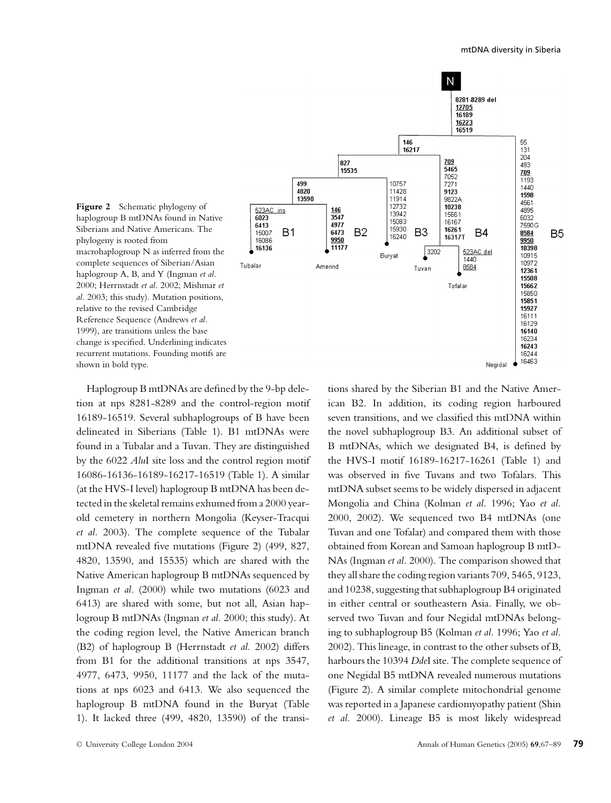

**Figure 2** Schematic phylogeny of haplogroup B mtDNAs found in Native Siberians and Native Americans. The phylogeny is rooted from macrohaplogroup N as inferred from the complete sequences of Siberian/Asian haplogroup A, B, and Y (Ingman *et al.* 2000; Herrnstadt *et al*. 2002; Mishmar *et al*. 2003; this study). Mutation positions, relative to the revised Cambridge Reference Sequence (Andrews *et al.* 1999), are transitions unless the base change is specified. Underlining indicates recurrent mutations. Founding motifs are shown in bold type.

Haplogroup B mtDNAs are defined by the 9-bp deletion at nps 8281-8289 and the control-region motif 16189-16519. Several subhaplogroups of B have been delineated in Siberians (Table 1). B1 mtDNAs were found in a Tubalar and a Tuvan. They are distinguished by the 6022 *Alu*I site loss and the control region motif 16086-16136-16189-16217-16519 (Table 1). A similar (at the HVS-I level) haplogroup B mtDNA has been detected in the skeletal remains exhumed from a 2000 yearold cemetery in northern Mongolia (Keyser-Tracqui *et al.* 2003). The complete sequence of the Tubalar mtDNA revealed five mutations (Figure 2) (499, 827, 4820, 13590, and 15535) which are shared with the Native American haplogroup B mtDNAs sequenced by Ingman *et al.* (2000) while two mutations (6023 and 6413) are shared with some, but not all, Asian haplogroup B mtDNAs (Ingman *et al.* 2000; this study). At the coding region level, the Native American branch (B2) of haplogroup B (Herrnstadt *et al.* 2002) differs from B1 for the additional transitions at nps 3547, 4977, 6473, 9950, 11177 and the lack of the mutations at nps 6023 and 6413. We also sequenced the haplogroup B mtDNA found in the Buryat (Table 1). It lacked three (499, 4820, 13590) of the transitions shared by the Siberian B1 and the Native American B2. In addition, its coding region harboured seven transitions, and we classified this mtDNA within the novel subhaplogroup B3. An additional subset of B mtDNAs, which we designated B4, is defined by the HVS-I motif 16189-16217-16261 (Table 1) and was observed in five Tuvans and two Tofalars. This mtDNA subset seems to be widely dispersed in adjacent Mongolia and China (Kolman *et al.* 1996; Yao *et al.* 2000, 2002). We sequenced two B4 mtDNAs (one Tuvan and one Tofalar) and compared them with those obtained from Korean and Samoan haplogroup B mtD-NAs (Ingman *et al.* 2000). The comparison showed that they all share the coding region variants 709, 5465, 9123, and 10238, suggesting that subhaplogroup B4 originated in either central or southeastern Asia. Finally, we observed two Tuvan and four Negidal mtDNAs belonging to subhaplogroup B5 (Kolman *et al.* 1996; Yao *et al.* 2002). This lineage, in contrast to the other subsets of B, harbours the 10394 *Dde*I site. The complete sequence of one Negidal B5 mtDNA revealed numerous mutations (Figure 2). A similar complete mitochondrial genome was reported in a Japanese cardiomyopathy patient (Shin *et al.* 2000). Lineage B5 is most likely widespread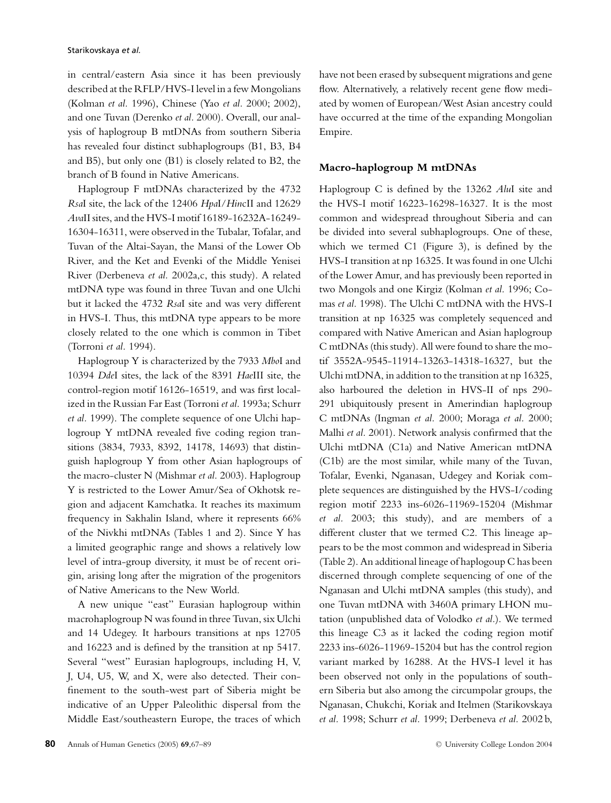in central/eastern Asia since it has been previously described at the RFLP/HVS-I level in a few Mongolians (Kolman *et al.* 1996), Chinese (Yao *et al.* 2000; 2002), and one Tuvan (Derenko *et al.* 2000). Overall, our analysis of haplogroup B mtDNAs from southern Siberia has revealed four distinct subhaplogroups (B1, B3, B4 and B5), but only one (B1) is closely related to B2, the branch of B found in Native Americans.

Haplogroup F mtDNAs characterized by the 4732 *Rsa*I site, the lack of the 12406 *Hpa*I/*Hin*cII and 12629 *Ava*II sites, and the HVS-I motif 16189-16232A-16249- 16304-16311, were observed in the Tubalar, Tofalar, and Tuvan of the Altai-Sayan, the Mansi of the Lower Ob River, and the Ket and Evenki of the Middle Yenisei River (Derbeneva *et al.* 2002a,c, this study). A related mtDNA type was found in three Tuvan and one Ulchi but it lacked the 4732 *Rsa*I site and was very different in HVS-I. Thus, this mtDNA type appears to be more closely related to the one which is common in Tibet (Torroni *et al.* 1994).

Haplogroup Y is characterized by the 7933 *Mbo*I and 10394 *Dde*I sites, the lack of the 8391 *Hae*III site, the control-region motif 16126-16519, and was first localized in the Russian Far East (Torroni *et al.* 1993a; Schurr *et al.* 1999). The complete sequence of one Ulchi haplogroup Y mtDNA revealed five coding region transitions (3834, 7933, 8392, 14178, 14693) that distinguish haplogroup Y from other Asian haplogroups of the macro-cluster N (Mishmar *et al.* 2003). Haplogroup Y is restricted to the Lower Amur/Sea of Okhotsk region and adjacent Kamchatka. It reaches its maximum frequency in Sakhalin Island, where it represents 66% of the Nivkhi mtDNAs (Tables 1 and 2). Since Y has a limited geographic range and shows a relatively low level of intra-group diversity, it must be of recent origin, arising long after the migration of the progenitors of Native Americans to the New World.

A new unique "east" Eurasian haplogroup within macrohaplogroup N was found in three Tuvan, six Ulchi and 14 Udegey. It harbours transitions at nps 12705 and 16223 and is defined by the transition at np 5417. Several "west" Eurasian haplogroups, including H, V, J, U4, U5, W, and X, were also detected. Their confinement to the south-west part of Siberia might be indicative of an Upper Paleolithic dispersal from the Middle East/southeastern Europe, the traces of which have not been erased by subsequent migrations and gene flow. Alternatively, a relatively recent gene flow mediated by women of European/West Asian ancestry could have occurred at the time of the expanding Mongolian Empire.

#### **Macro-haplogroup M mtDNAs**

Haplogroup C is defined by the 13262 *Alu*I site and the HVS-I motif 16223-16298-16327. It is the most common and widespread throughout Siberia and can be divided into several subhaplogroups. One of these, which we termed C1 (Figure 3), is defined by the HVS-I transition at np 16325. It was found in one Ulchi of the Lower Amur, and has previously been reported in two Mongols and one Kirgiz (Kolman *et al.* 1996; Comas *et al.* 1998). The Ulchi C mtDNA with the HVS-I transition at np 16325 was completely sequenced and compared with Native American and Asian haplogroup C mtDNAs (this study). All were found to share the motif 3552A-9545-11914-13263-14318-16327, but the Ulchi mtDNA, in addition to the transition at np 16325, also harboured the deletion in HVS-II of nps 290- 291 ubiquitously present in Amerindian haplogroup C mtDNAs (Ingman *et al.* 2000; Moraga *et al.* 2000; Malhi *et al.* 2001). Network analysis confirmed that the Ulchi mtDNA (C1a) and Native American mtDNA (C1b) are the most similar, while many of the Tuvan, Tofalar, Evenki, Nganasan, Udegey and Koriak complete sequences are distinguished by the HVS-I/coding region motif 2233 ins-6026-11969-15204 (Mishmar *et al.* 2003; this study), and are members of a different cluster that we termed C2. This lineage appears to be the most common and widespread in Siberia (Table 2). An additional lineage of haplogoup C has been discerned through complete sequencing of one of the Nganasan and Ulchi mtDNA samples (this study), and one Tuvan mtDNA with 3460A primary LHON mutation (unpublished data of Volodko *et al.*). We termed this lineage C3 as it lacked the coding region motif 2233 ins-6026-11969-15204 but has the control region variant marked by 16288. At the HVS-I level it has been observed not only in the populations of southern Siberia but also among the circumpolar groups, the Nganasan, Chukchi, Koriak and Itelmen (Starikovskaya *et al.* 1998; Schurr *et al.* 1999; Derbeneva *et al.* 2002 b,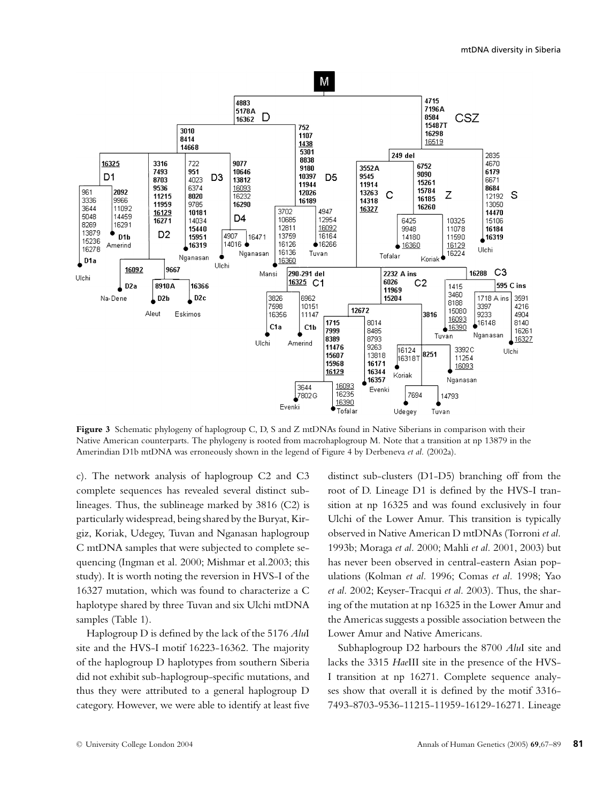

**Figure 3** Schematic phylogeny of haplogroup C, D, S and Z mtDNAs found in Native Siberians in comparison with their Native American counterparts. The phylogeny is rooted from macrohaplogroup M. Note that a transition at np 13879 in the Amerindian D1b mtDNA was erroneously shown in the legend of Figure 4 by Derbeneva *et al.* (2002a).

c). The network analysis of haplogroup C2 and C3 complete sequences has revealed several distinct sublineages. Thus, the sublineage marked by 3816 (C2) is particularly widespread, being shared by the Buryat, Kirgiz, Koriak, Udegey, Tuvan and Nganasan haplogroup C mtDNA samples that were subjected to complete sequencing (Ingman et al. 2000; Mishmar et al.2003; this study). It is worth noting the reversion in HVS-I of the 16327 mutation, which was found to characterize a C haplotype shared by three Tuvan and six Ulchi mtDNA samples (Table 1).

Haplogroup D is defined by the lack of the 5176 *Alu*I site and the HVS-I motif 16223-16362. The majority of the haplogroup D haplotypes from southern Siberia did not exhibit sub-haplogroup-specific mutations, and thus they were attributed to a general haplogroup D category. However, we were able to identify at least five

distinct sub-clusters (D1-D5) branching off from the root of D. Lineage D1 is defined by the HVS-I transition at np 16325 and was found exclusively in four Ulchi of the Lower Amur. This transition is typically observed in Native American D mtDNAs (Torroni *et al.* 1993b; Moraga *et al.* 2000; Mahli *et al.* 2001, 2003) but has never been observed in central-eastern Asian populations (Kolman *et al.* 1996; Comas *et al.* 1998; Yao *et al.* 2002; Keyser-Tracqui *et al.* 2003). Thus, the sharing of the mutation at np 16325 in the Lower Amur and the Americas suggests a possible association between the Lower Amur and Native Americans.

Subhaplogroup D2 harbours the 8700 *Alu*I site and lacks the 3315 *Hae*III site in the presence of the HVS-I transition at np 16271. Complete sequence analyses show that overall it is defined by the motif 3316- 7493-8703-9536-11215-11959-16129-16271. Lineage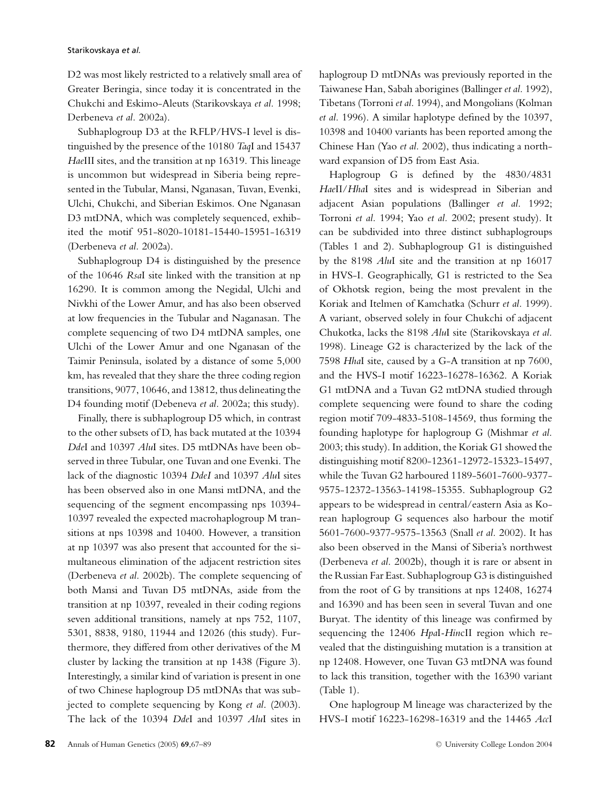#### Starikovskaya *et al.*

D2 was most likely restricted to a relatively small area of Greater Beringia, since today it is concentrated in the Chukchi and Eskimo-Aleuts (Starikovskaya *et al.* 1998; Derbeneva *et al.* 2002a).

Subhaplogroup D3 at the RFLP/HVS-I level is distinguished by the presence of the 10180 *Taq*I and 15437 *Hae*III sites, and the transition at np 16319. This lineage is uncommon but widespread in Siberia being represented in the Tubular, Mansi, Nganasan, Tuvan, Evenki, Ulchi, Chukchi, and Siberian Eskimos. One Nganasan D3 mtDNA, which was completely sequenced, exhibited the motif 951-8020-10181-15440-15951-16319 (Derbeneva *et al.* 2002a).

Subhaplogroup D4 is distinguished by the presence of the 10646 *Rsa*I site linked with the transition at np 16290. It is common among the Negidal, Ulchi and Nivkhi of the Lower Amur, and has also been observed at low frequencies in the Tubular and Naganasan. The complete sequencing of two D4 mtDNA samples, one Ulchi of the Lower Amur and one Nganasan of the Taimir Peninsula, isolated by a distance of some 5,000 km, has revealed that they share the three coding region transitions, 9077, 10646, and 13812, thus delineating the D4 founding motif (Debeneva *et al.* 2002a; this study).

Finally, there is subhaplogroup D5 which, in contrast to the other subsets of D, has back mutated at the 10394 *Dde*I and 10397 *Alu*I sites. D5 mtDNAs have been observed in three Tubular, one Tuvan and one Evenki. The lack of the diagnostic 10394 *DdeI* and 10397 *Alu*I sites has been observed also in one Mansi mtDNA, and the sequencing of the segment encompassing nps 10394- 10397 revealed the expected macrohaplogroup M transitions at nps 10398 and 10400. However, a transition at np 10397 was also present that accounted for the simultaneous elimination of the adjacent restriction sites (Derbeneva *et al.* 2002b). The complete sequencing of both Mansi and Tuvan D5 mtDNAs, aside from the transition at np 10397, revealed in their coding regions seven additional transitions, namely at nps 752, 1107, 5301, 8838, 9180, 11944 and 12026 (this study). Furthermore, they differed from other derivatives of the M cluster by lacking the transition at np 1438 (Figure 3). Interestingly, a similar kind of variation is present in one of two Chinese haplogroup D5 mtDNAs that was subjected to complete sequencing by Kong *et al*. (2003). The lack of the 10394 *Dde*I and 10397 *Alu*I sites in

haplogroup D mtDNAs was previously reported in the Taiwanese Han, Sabah aborigines (Ballinger *et al.* 1992), Tibetans (Torroni *et al.* 1994), and Mongolians (Kolman *et al.* 1996). A similar haplotype defined by the 10397, 10398 and 10400 variants has been reported among the Chinese Han (Yao *et al.* 2002), thus indicating a northward expansion of D5 from East Asia.

Haplogroup G is defined by the 4830/4831 *Hae*II/*Hha*I sites and is widespread in Siberian and adjacent Asian populations (Ballinger *et al.* 1992; Torroni *et al.* 1994; Yao *et al.* 2002; present study). It can be subdivided into three distinct subhaplogroups (Tables 1 and 2). Subhaplogroup G1 is distinguished by the 8198 *Alu*I site and the transition at np 16017 in HVS-I. Geographically, G1 is restricted to the Sea of Okhotsk region, being the most prevalent in the Koriak and Itelmen of Kamchatka (Schurr *et al.* 1999). A variant, observed solely in four Chukchi of adjacent Chukotka, lacks the 8198 *Alu*I site (Starikovskaya *et al.* 1998). Lineage G2 is characterized by the lack of the 7598 *Hha*I site, caused by a G-A transition at np 7600, and the HVS-I motif 16223-16278-16362. A Koriak G1 mtDNA and a Tuvan G2 mtDNA studied through complete sequencing were found to share the coding region motif 709-4833-5108-14569, thus forming the founding haplotype for haplogroup G (Mishmar *et al.* 2003; this study). In addition, the Koriak G1 showed the distinguishing motif 8200-12361-12972-15323-15497, while the Tuvan G2 harboured 1189-5601-7600-9377- 9575-12372-13563-14198-15355. Subhaplogroup G2 appears to be widespread in central/eastern Asia as Korean haplogroup G sequences also harbour the motif 5601-7600-9377-9575-13563 (Snall *et al.* 2002). It has also been observed in the Mansi of Siberia's northwest (Derbeneva *et al.* 2002b), though it is rare or absent in the Russian Far East. Subhaplogroup G3 is distinguished from the root of G by transitions at nps 12408, 16274 and 16390 and has been seen in several Tuvan and one Buryat. The identity of this lineage was confirmed by sequencing the 12406 *Hpa*I*-Hin*cII region which revealed that the distinguishing mutation is a transition at np 12408. However, one Tuvan G3 mtDNA was found to lack this transition, together with the 16390 variant (Table 1).

One haplogroup M lineage was characterized by the HVS-I motif 16223-16298-16319 and the 14465 *Acc*I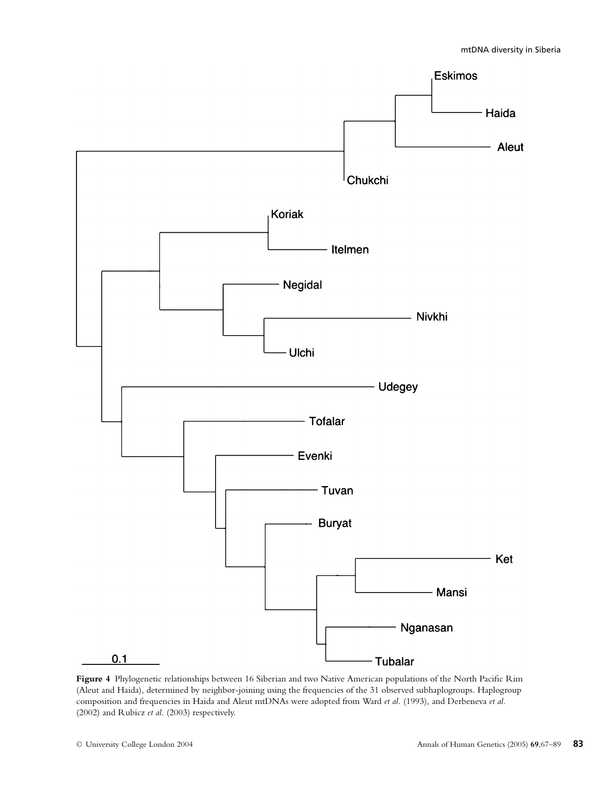

**Figure 4** Phylogenetic relationships between 16 Siberian and two Native American populations of the North Pacific Rim (Aleut and Haida), determined by neighbor-joining using the frequencies of the 31 observed subhaplogroups. Haplogroup composition and frequencies in Haida and Aleut mtDNAs were adopted from Ward *et al.* (1993), and Derbeneva *et al.* (2002) and Rubicz *et al*. (2003) respectively.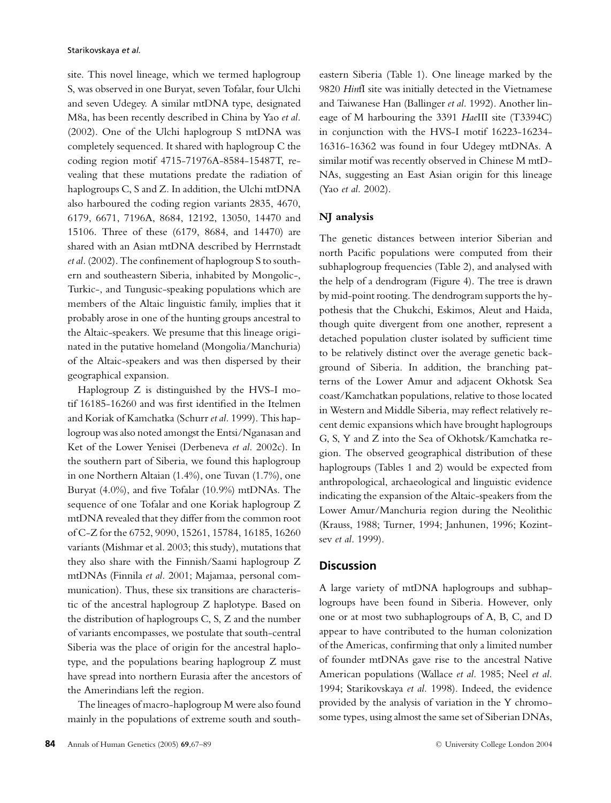site. This novel lineage, which we termed haplogroup S, was observed in one Buryat, seven Tofalar, four Ulchi and seven Udegey. A similar mtDNA type, designated M8a, has been recently described in China by Yao *et al.* (2002). One of the Ulchi haplogroup S mtDNA was completely sequenced. It shared with haplogroup C the coding region motif 4715-71976A-8584-15487T, revealing that these mutations predate the radiation of haplogroups C, S and Z. In addition, the Ulchi mtDNA also harboured the coding region variants 2835, 4670, 6179, 6671, 7196A, 8684, 12192, 13050, 14470 and 15106. Three of these (6179, 8684, and 14470) are shared with an Asian mtDNA described by Herrnstadt *et al.* (2002). The confinement of haplogroup S to southern and southeastern Siberia, inhabited by Mongolic-, Turkic-, and Tungusic-speaking populations which are members of the Altaic linguistic family, implies that it probably arose in one of the hunting groups ancestral to the Altaic-speakers. We presume that this lineage originated in the putative homeland (Mongolia/Manchuria) of the Altaic-speakers and was then dispersed by their geographical expansion.

Haplogroup Z is distinguished by the HVS-I motif 16185-16260 and was first identified in the Itelmen and Koriak of Kamchatka (Schurr *et al.* 1999). This haplogroup was also noted amongst the Entsi/Nganasan and Ket of the Lower Yenisei (Derbeneva *et al.* 2002c). In the southern part of Siberia, we found this haplogroup in one Northern Altaian (1.4%), one Tuvan (1.7%), one Buryat (4.0%), and five Tofalar (10.9%) mtDNAs. The sequence of one Tofalar and one Koriak haplogroup Z mtDNA revealed that they differ from the common root of C-Z for the 6752, 9090, 15261, 15784, 16185, 16260 variants (Mishmar et al. 2003; this study), mutations that they also share with the Finnish/Saami haplogroup Z mtDNAs (Finnila *et al.* 2001; Majamaa, personal communication). Thus, these six transitions are characteristic of the ancestral haplogroup Z haplotype. Based on the distribution of haplogroups C, S, Z and the number of variants encompasses, we postulate that south-central Siberia was the place of origin for the ancestral haplotype, and the populations bearing haplogroup Z must have spread into northern Eurasia after the ancestors of the Amerindians left the region.

The lineages of macro-haplogroup M were also found mainly in the populations of extreme south and southeastern Siberia (Table 1). One lineage marked by the 9820 *Hin*fI site was initially detected in the Vietnamese and Taiwanese Han (Ballinger *et al.* 1992). Another lineage of M harbouring the 3391 *Hae*III site (T3394C) in conjunction with the HVS-I motif 16223-16234- 16316-16362 was found in four Udegey mtDNAs. A similar motif was recently observed in Chinese M mtD-NAs, suggesting an East Asian origin for this lineage (Yao *et al.* 2002).

#### **NJ analysis**

The genetic distances between interior Siberian and north Pacific populations were computed from their subhaplogroup frequencies (Table 2), and analysed with the help of a dendrogram (Figure 4). The tree is drawn by mid-point rooting. The dendrogram supports the hypothesis that the Chukchi, Eskimos, Aleut and Haida, though quite divergent from one another, represent a detached population cluster isolated by sufficient time to be relatively distinct over the average genetic background of Siberia. In addition, the branching patterns of the Lower Amur and adjacent Okhotsk Sea coast/Kamchatkan populations, relative to those located in Western and Middle Siberia, may reflect relatively recent demic expansions which have brought haplogroups G, S, Y and Z into the Sea of Okhotsk/Kamchatka region. The observed geographical distribution of these haplogroups (Tables 1 and 2) would be expected from anthropological, archaeological and linguistic evidence indicating the expansion of the Altaic-speakers from the Lower Amur/Manchuria region during the Neolithic (Krauss, 1988; Turner, 1994; Janhunen, 1996; Kozintsev *et al*. 1999).

#### **Discussion**

A large variety of mtDNA haplogroups and subhaplogroups have been found in Siberia. However, only one or at most two subhaplogroups of A, B, C, and D appear to have contributed to the human colonization of the Americas, confirming that only a limited number of founder mtDNAs gave rise to the ancestral Native American populations (Wallace *et al.* 1985; Neel *et al.* 1994; Starikovskaya *et al.* 1998). Indeed, the evidence provided by the analysis of variation in the Y chromosome types, using almost the same set of Siberian DNAs,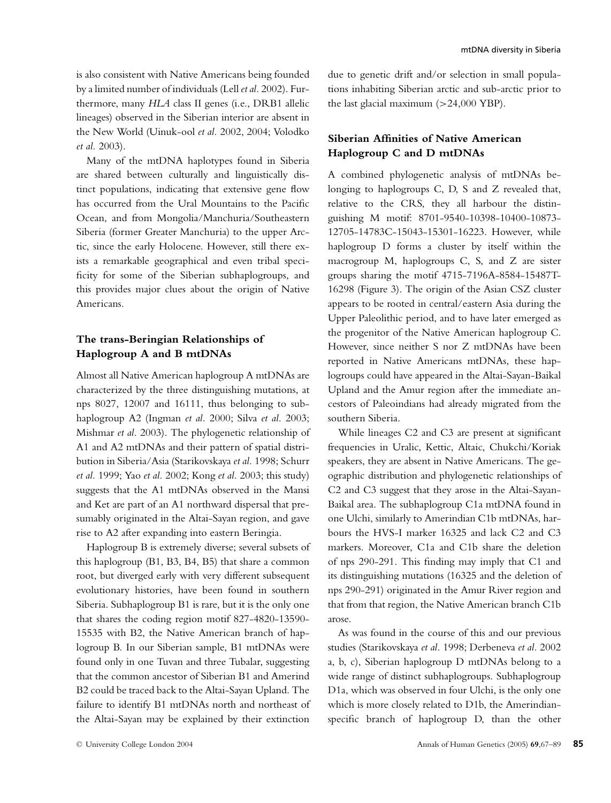is also consistent with Native Americans being founded by alimited number of individuals (Lell *et al*. 2002). Furthermore, many *HLA* class II genes (i.e., DRB1 allelic lineages) observed in the Siberian interior are absent in the New World (Uinuk-ool *et al.* 2002, 2004; Volodko *et al.* 2003).

Many of the mtDNA haplotypes found in Siberia are shared between culturally and linguistically distinct populations, indicating that extensive gene flow has occurred from the Ural Mountains to the Pacific Ocean, and from Mongolia/Manchuria/Southeastern Siberia (former Greater Manchuria) to the upper Arctic, since the early Holocene. However, still there exists a remarkable geographical and even tribal specificity for some of the Siberian subhaplogroups, and this provides major clues about the origin of Native Americans.

## **The trans-Beringian Relationships of Haplogroup A and B mtDNAs**

Almost all Native American haplogroup A mtDNAs are characterized by the three distinguishing mutations, at nps 8027, 12007 and 16111, thus belonging to subhaplogroup A2 (Ingman *et al.* 2000; Silva *et al.* 2003; Mishmar *et al.* 2003). The phylogenetic relationship of A1 and A2 mtDNAs and their pattern of spatial distribution in Siberia/Asia (Starikovskaya *et al.* 1998; Schurr *et al.* 1999; Yao *et al.* 2002; Kong *et al.* 2003; this study) suggests that the A1 mtDNAs observed in the Mansi and Ket are part of an A1 northward dispersal that presumably originated in the Altai-Sayan region, and gave rise to A2 after expanding into eastern Beringia.

Haplogroup B is extremely diverse; several subsets of this haplogroup (B1, B3, B4, B5) that share a common root, but diverged early with very different subsequent evolutionary histories, have been found in southern Siberia. Subhaplogroup B1 is rare, but it is the only one that shares the coding region motif 827-4820-13590- 15535 with B2, the Native American branch of haplogroup B. In our Siberian sample, B1 mtDNAs were found only in one Tuvan and three Tubalar, suggesting that the common ancestor of Siberian B1 and Amerind B2 could be traced back to the Altai-Sayan Upland. The failure to identify B1 mtDNAs north and northeast of the Altai-Sayan may be explained by their extinction

due to genetic drift and/or selection in small populations inhabiting Siberian arctic and sub-arctic prior to the last glacial maximum  $(>24,000 \text{ YBP})$ .

## **Siberian Affinities of Native American Haplogroup C and D mtDNAs**

A combined phylogenetic analysis of mtDNAs belonging to haplogroups C, D, S and Z revealed that, relative to the CRS, they all harbour the distinguishing M motif: 8701-9540-10398-10400-10873- 12705-14783C-15043-15301-16223. However, while haplogroup D forms a cluster by itself within the macrogroup M, haplogroups C, S, and Z are sister groups sharing the motif 4715-7196A-8584-15487T-16298 (Figure 3). The origin of the Asian CSZ cluster appears to be rooted in central/eastern Asia during the Upper Paleolithic period, and to have later emerged as the progenitor of the Native American haplogroup C. However, since neither S nor Z mtDNAs have been reported in Native Americans mtDNAs, these haplogroups could have appeared in the Altai-Sayan-Baikal Upland and the Amur region after the immediate ancestors of Paleoindians had already migrated from the southern Siberia.

While lineages C2 and C3 are present at significant frequencies in Uralic, Kettic, Altaic, Chukchi/Koriak speakers, they are absent in Native Americans. The geographic distribution and phylogenetic relationships of C2 and C3 suggest that they arose in the Altai-Sayan-Baikal area. The subhaplogroup C1a mtDNA found in one Ulchi, similarly to Amerindian C1b mtDNAs, harbours the HVS-I marker 16325 and lack C2 and C3 markers. Moreover, C1a and C1b share the deletion of nps 290-291. This finding may imply that C1 and its distinguishing mutations (16325 and the deletion of nps 290-291) originated in the Amur River region and that from that region, the Native American branch C1b arose.

As was found in the course of this and our previous studies (Starikovskaya *et al.* 1998; Derbeneva *et al.* 2002 a, b, c), Siberian haplogroup D mtDNAs belong to a wide range of distinct subhaplogroups. Subhaplogroup D1a, which was observed in four Ulchi, is the only one which is more closely related to D1b, the Amerindianspecific branch of haplogroup D, than the other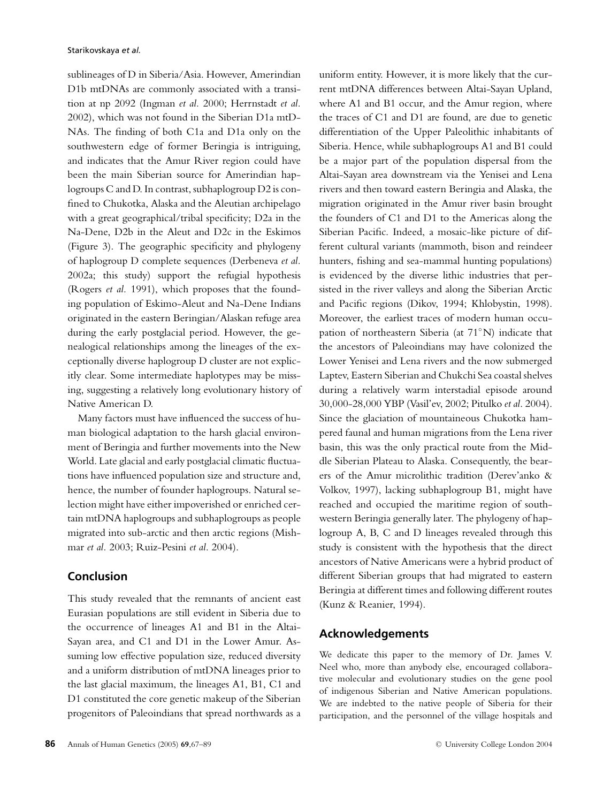sublineages of D in Siberia/Asia. However, Amerindian D1b mtDNAs are commonly associated with a transition at np 2092 (Ingman *et al.* 2000; Herrnstadt *et al.* 2002), which was not found in the Siberian D1a mtD-NAs. The finding of both C1a and D1a only on the southwestern edge of former Beringia is intriguing, and indicates that the Amur River region could have been the main Siberian source for Amerindian haplogroups C and D. In contrast, subhaplogroup D2 is confined to Chukotka, Alaska and the Aleutian archipelago with a great geographical/tribal specificity; D2a in the Na-Dene, D2b in the Aleut and D2c in the Eskimos (Figure 3). The geographic specificity and phylogeny of haplogroup D complete sequences (Derbeneva *et al.* 2002a; this study) support the refugial hypothesis (Rogers *et al.* 1991), which proposes that the founding population of Eskimo-Aleut and Na-Dene Indians originated in the eastern Beringian/Alaskan refuge area during the early postglacial period. However, the genealogical relationships among the lineages of the exceptionally diverse haplogroup D cluster are not explicitly clear. Some intermediate haplotypes may be missing, suggesting a relatively long evolutionary history of Native American D.

Many factors must have influenced the success of human biological adaptation to the harsh glacial environment of Beringia and further movements into the New World. Late glacial and early postglacial climatic fluctuations have influenced population size and structure and, hence, the number of founder haplogroups. Natural selection might have either impoverished or enriched certain mtDNA haplogroups and subhaplogroups as people migrated into sub-arctic and then arctic regions (Mishmar *et al.* 2003; Ruiz-Pesini *et al*. 2004).

## **Conclusion**

This study revealed that the remnants of ancient east Eurasian populations are still evident in Siberia due to the occurrence of lineages A1 and B1 in the Altai-Sayan area, and C1 and D1 in the Lower Amur. Assuming low effective population size, reduced diversity and a uniform distribution of mtDNA lineages prior to the last glacial maximum, the lineages A1, B1, C1 and D1 constituted the core genetic makeup of the Siberian progenitors of Paleoindians that spread northwards as a

uniform entity. However, it is more likely that the current mtDNA differences between Altai-Sayan Upland, where A1 and B1 occur, and the Amur region, where the traces of C1 and D1 are found, are due to genetic differentiation of the Upper Paleolithic inhabitants of Siberia. Hence, while subhaplogroups A1 and B1 could be a major part of the population dispersal from the Altai-Sayan area downstream via the Yenisei and Lena rivers and then toward eastern Beringia and Alaska, the migration originated in the Amur river basin brought the founders of C1 and D1 to the Americas along the Siberian Pacific. Indeed, a mosaic-like picture of different cultural variants (mammoth, bison and reindeer hunters, fishing and sea-mammal hunting populations) is evidenced by the diverse lithic industries that persisted in the river valleys and along the Siberian Arctic and Pacific regions (Dikov, 1994; Khlobystin, 1998). Moreover, the earliest traces of modern human occupation of northeastern Siberia (at 71◦N) indicate that the ancestors of Paleoindians may have colonized the Lower Yenisei and Lena rivers and the now submerged Laptev, Eastern Siberian and Chukchi Sea coastal shelves during a relatively warm interstadial episode around 30,000-28,000 YBP (Vasil'ev, 2002; Pitulko *et al*. 2004). Since the glaciation of mountaineous Chukotka hampered faunal and human migrations from the Lena river basin, this was the only practical route from the Middle Siberian Plateau to Alaska. Consequently, the bearers of the Amur microlithic tradition (Derev'anko & Volkov, 1997), lacking subhaplogroup B1, might have reached and occupied the maritime region of southwestern Beringia generally later. The phylogeny of haplogroup A, B, C and D lineages revealed through this study is consistent with the hypothesis that the direct ancestors of Native Americans were a hybrid product of different Siberian groups that had migrated to eastern Beringia at different times and following different routes (Kunz & Reanier, 1994).

## **Acknowledgements**

We dedicate this paper to the memory of Dr. James V. Neel who, more than anybody else, encouraged collaborative molecular and evolutionary studies on the gene pool of indigenous Siberian and Native American populations. We are indebted to the native people of Siberia for their participation, and the personnel of the village hospitals and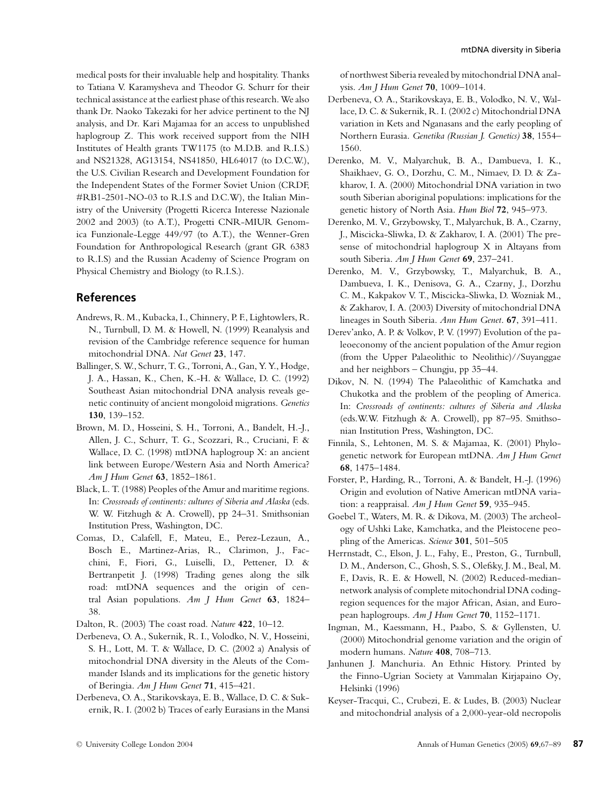medical posts for their invaluable help and hospitality. Thanks to Tatiana V. Karamysheva and Theodor G. Schurr for their technical assistance at the earliest phase of this research. We also thank Dr. Naoko Takezaki for her advice pertinent to the NJ analysis, and Dr. Kari Majamaa for an access to unpublished haplogroup Z. This work received support from the NIH Institutes of Health grants TW1175 (to M.D.B. and R.I.S.) and NS21328, AG13154, NS41850, HL64017 (to D.C.W.), the U.S. Civilian Research and Development Foundation for the Independent States of the Former Soviet Union (CRDF, #RB1-2501-NO-03 to R.I.S and D.C.W), the Italian Ministry of the University (Progetti Ricerca Interesse Nazionale 2002 and 2003) (to A.T.), Progetti CNR-MIUR Genomica Funzionale-Legge 449/97 (to A.T.), the Wenner-Gren Foundation for Anthropological Research (grant GR 6383 to R.I.S) and the Russian Academy of Science Program on Physical Chemistry and Biology (to R.I.S.).

### **References**

- Andrews, R. M., Kubacka, I., Chinnery, P. F., Lightowlers, R. N., Turnbull, D. M. & Howell, N. (1999) Reanalysis and revision of the Cambridge reference sequence for human mitochondrial DNA. *Nat Genet* **23**, 147.
- Ballinger, S. W., Schurr, T. G., Torroni, A., Gan, Y. Y., Hodge, J. A., Hassan, K., Chen, K.-H. & Wallace, D. C. (1992) Southeast Asian mitochondrial DNA analysis reveals genetic continuity of ancient mongoloid migrations. *Genetics* **130**, 139–152.
- Brown, M. D., Hosseini, S. H., Torroni, A., Bandelt, H.-J., Allen, J. C., Schurr, T. G., Scozzari, R., Cruciani, F. & Wallace, D. C. (1998) mtDNA haplogroup X: an ancient link between Europe/Western Asia and North America? *Am J Hum Genet* **63**, 1852–1861.
- Black, L. T. (1988) Peoples of the Amur and maritime regions. In: *Crossroads of continents: cultures of Siberia and Alaska* (eds. W. W. Fitzhugh & A. Crowell), pp 24–31. Smithsonian Institution Press, Washington, DC.
- Comas, D., Calafell, F., Mateu, E., Perez-Lezaun, A., Bosch E., Martinez-Arias, R., Clarimon, J., Facchini, F., Fiori, G., Luiselli, D., Pettener, D. & Bertranpetit J. (1998) Trading genes along the silk road: mtDNA sequences and the origin of central Asian populations. *Am J Hum Genet* **63**, 1824– 38.
- Dalton, R. (2003) The coast road. *Nature* **422**, 10–12.
- Derbeneva, O. A., Sukernik, R. I., Volodko, N. V., Hosseini, S. H., Lott, M. T. & Wallace, D. C. (2002 a) Analysis of mitochondrial DNA diversity in the Aleuts of the Commander Islands and its implications for the genetic history of Beringia. *Am J Hum Genet* **71**, 415–421.
- Derbeneva, O. A., Starikovskaya, E. B., Wallace, D. C. & Sukernik, R. I. (2002 b) Traces of early Eurasians in the Mansi

of northwest Siberia revealed by mitochondrial DNA analysis. *Am J Hum Genet* **70**, 1009–1014.

- Derbeneva, O. A., Starikovskaya, E. B., Volodko, N. V., Wallace, D. C. & Sukernik, R. I. (2002 c) Mitochondrial DNA variation in Kets and Nganasans and the early peopling of Northern Eurasia. *Genetika (Russian J. Genetics)* **38**, 1554– 1560.
- Derenko, M. V., Malyarchuk, B. A., Dambueva, I. K., Shaikhaev, G. O., Dorzhu, C. M., Nimaev, D. D. & Zakharov, I. A. (2000) Mitochondrial DNA variation in two south Siberian aboriginal populations: implications for the genetic history of North Asia. *Hum Biol* **72**, 945–973.
- Derenko, M. V., Grzybowsky, T., Malyarchuk, B. A., Czarny, J., Miscicka-Sliwka, D. & Zakharov, I. A. (2001) The presense of mitochondrial haplogroup X in Altayans from south Siberia. *Am J Hum Genet* **69**, 237–241.
- Derenko, M. V., Grzybowsky, T., Malyarchuk, B. A., Dambueva, I. K., Denisova, G. A., Czarny, J., Dorzhu C. M., Kakpakov V. T., Miscicka-Sliwka, D. Wozniak M., & Zakharov, I. A. (2003) Diversity of mitochondrial DNA lineages in South Siberia. *Ann Hum Genet*. **67**, 391–411.
- Derev'anko, A. P. & Volkov, P. V. (1997) Evolution of the paleoeconomy of the ancient population of the Amur region (from the Upper Palaeolithic to Neolithic)//Suyanggae and her neighbors – Chungju, pp 35–44.
- Dikov, N. N. (1994) The Palaeolithic of Kamchatka and Chukotka and the problem of the peopling of America. In: *Crossroads of continents: cultures of Siberia and Alaska* (eds.W.W. Fitzhugh & A. Crowell), pp 87–95. Smithsonian Institution Press, Washington, DC.
- Finnila, S., Lehtonen, M. S. & Majamaa, K. (2001) Phylogenetic network for European mtDNA. *Am J Hum Genet* **68**, 1475–1484.
- Forster, P., Harding, R., Torroni, A. & Bandelt, H.-J. (1996) Origin and evolution of Native American mtDNA variation: a reappraisal. *Am J Hum Genet* **59**, 935–945.
- Goebel T., Waters, M. R. & Dikova, M. (2003) The archeology of Ushki Lake, Kamchatka, and the Pleistocene peopling of the Americas. *Science* **301**, 501–505
- Herrnstadt, C., Elson, J. L., Fahy, E., Preston, G., Turnbull, D. M., Anderson, C., Ghosh, S. S., Olefsky, J. M., Beal, M. F., Davis, R. E. & Howell, N. (2002) Reduced-mediannetwork analysis of complete mitochondrial DNA codingregion sequences for the major African, Asian, and European haplogroups. *Am J Hum Genet* **70**, 1152–1171.
- Ingman, M., Kaessmann, H., Paabo, S. & Gyllensten, U. (2000) Mitochondrial genome variation and the origin of modern humans. *Nature* **408**, 708–713.
- Janhunen J. Manchuria. An Ethnic History. Printed by the Finno-Ugrian Society at Vammalan Kirjapaino Oy, Helsinki (1996)
- Keyser-Tracqui, C., Crubezi, E. & Ludes, B. (2003) Nuclear and mitochondrial analysis of a 2,000-year-old necropolis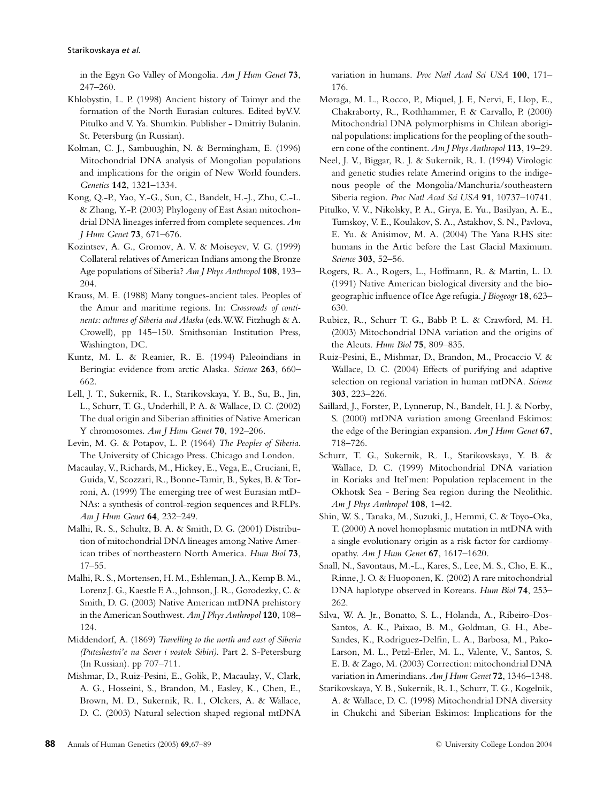in the Egyn Go Valley of Mongolia. *Am J Hum Genet* **73**, 247–260.

- Khlobystin, L. P. (1998) Ancient history of Taimyr and the formation of the North Eurasian cultures. Edited byV.V. Pitulko and V. Ya. Shumkin. Publisher - Dmitriy Bulanin. St. Petersburg (in Russian).
- Kolman, C. J., Sambuughin, N. & Bermingham, E. (1996) Mitochondrial DNA analysis of Mongolian populations and implications for the origin of New World founders. *Genetics* **142**, 1321–1334.
- Kong, Q.-P., Yao, Y.-G., Sun, C., Bandelt, H.-J., Zhu, C.-L. & Zhang, Y.-P. (2003) Phylogeny of East Asian mitochondrial DNA lineages inferred from complete sequences. *Am J Hum Genet* **73**, 671–676.
- Kozintsev, A. G., Gromov, A. V. & Moiseyev, V. G. (1999) Collateral relatives of American Indians among the Bronze Age populations of Siberia? *Am J Phys Anthropol* **108**, 193– 204.
- Krauss, M. E. (1988) Many tongues-ancient tales. Peoples of the Amur and maritime regions. In: *Crossroads of continents: cultures of Siberia and Alaska* (eds.W.W. Fitzhugh & A. Crowell), pp 145–150. Smithsonian Institution Press, Washington, DC.
- Kuntz, M. L. & Reanier, R. E. (1994) Paleoindians in Beringia: evidence from arctic Alaska. *Science* **263**, 660– 662.
- Lell, J. T., Sukernik, R. I., Starikovskaya, Y. B., Su, B., Jin, L., Schurr, T. G., Underhill, P. A. & Wallace, D. C. (2002) The dual origin and Siberian affinities of Native American Y chromosomes. *Am J Hum Genet* **70**, 192–206.
- Levin, M. G. & Potapov, L. P. (1964) *The Peoples of Siberia*. The University of Chicago Press. Chicago and London.
- Macaulay, V., Richards, M., Hickey, E., Vega, E., Cruciani, F., Guida, V., Scozzari, R., Bonne-Tamir, B., Sykes, B. & Torroni, A. (1999) The emerging tree of west Eurasian mtD-NAs: a synthesis of control-region sequences and RFLPs. *Am J Hum Genet* **64**, 232–249.
- Malhi, R. S., Schultz, B. A. & Smith, D. G. (2001) Distribution of mitochondrial DNA lineages among Native American tribes of northeastern North America. *Hum Biol* **73**, 17–55.
- Malhi, R. S., Mortensen, H. M., Eshleman, J. A., Kemp B. M., Lorenz J. G., Kaestle F. A., Johnson, J. R., Gorodezky, C. & Smith, D. G. (2003) Native American mtDNA prehistory in the American Southwest. *Am J Phys Anthropol* **120**, 108– 124.
- Middendorf, A. (1869) *Travelling to the north and east of Siberia (Puteshestvi'e na Sever i vostok Sibiri)*. Part 2. S-Petersburg (In Russian). pp 707–711.
- Mishmar, D., Ruiz-Pesini, E., Golik, P., Macaulay, V., Clark, A. G., Hosseini, S., Brandon, M., Easley, K., Chen, E., Brown, M. D., Sukernik, R. I., Olckers, A. & Wallace, D. C. (2003) Natural selection shaped regional mtDNA

variation in humans. *Proc Natl Acad Sci USA* **100**, 171– 176.

- Moraga, M. L., Rocco, P., Miquel, J. F., Nervi, F., Llop, E., Chakraborty, R., Rothhammer, F. & Carvallo, P. (2000) Mitochondrial DNA polymorphisms in Chilean aboriginal populations: implications for the peopling of the southern cone of the continent. *Am J Phys Anthropol* **113**, 19–29.
- Neel, J. V., Biggar, R. J. & Sukernik, R. I. (1994) Virologic and genetic studies relate Amerind origins to the indigenous people of the Mongolia/Manchuria/southeastern Siberia region. *Proc Natl Acad Sci USA* **91**, 10737–10741.
- Pitulko, V. V., Nikolsky, P. A., Girya, E. Yu., Basilyan, A. E., Tumskoy, V. E., Koulakov, S. A., Astakhov, S. N., Pavlova, E. Yu. & Anisimov, M. A. (2004) The Yana RHS site: humans in the Artic before the Last Glacial Maximum. *Science* **303**, 52–56.
- Rogers, R. A., Rogers, L., Hoffmann, R. & Martin, L. D. (1991) Native American biological diversity and the biogeographic influence of Ice Age refugia. *J Biogeogr* **18**, 623– 630.
- Rubicz, R., Schurr T. G., Babb P. L. & Crawford, M. H. (2003) Mitochondrial DNA variation and the origins of the Aleuts. *Hum Biol* **75**, 809–835.
- Ruiz-Pesini, E., Mishmar, D., Brandon, M., Procaccio V. & Wallace, D. C. (2004) Effects of purifying and adaptive selection on regional variation in human mtDNA. *Science* **303**, 223–226.
- Saillard, J., Forster, P., Lynnerup, N., Bandelt, H. J. & Norby, S. (2000) mtDNA variation among Greenland Eskimos: the edge of the Beringian expansion. *Am J Hum Genet* **67**, 718–726.
- Schurr, T. G., Sukernik, R. I., Starikovskaya, Y. B. & Wallace, D. C. (1999) Mitochondrial DNA variation in Koriaks and Itel'men: Population replacement in the Okhotsk Sea - Bering Sea region during the Neolithic. *Am J Phys Anthropol* **108**, 1–42.
- Shin, W. S., Tanaka, M., Suzuki, J., Hemmi, C. & Toyo-Oka, T. (2000) A novel homoplasmic mutation in mtDNA with a single evolutionary origin as a risk factor for cardiomyopathy. *Am J Hum Genet* **67**, 1617–1620.
- Snall, N., Savontaus, M.-L., Kares, S., Lee, M. S., Cho, E. K., Rinne, J. O. & Huoponen, K. (2002) A rare mitochondrial DNA haplotype observed in Koreans. *Hum Biol* **74**, 253– 262.
- Silva, W. A. Jr., Bonatto, S. L., Holanda, A., Ribeiro-Dos-Santos, A. K., Paixao, B. M., Goldman, G. H., Abe-Sandes, K., Rodriguez-Delfin, L. A., Barbosa, M., Pako-Larson, M. L., Petzl-Erler, M. L., Valente, V., Santos, S. E. B. & Zago, M. (2003) Correction: mitochondrial DNA variation in Amerindians. *Am J Hum Genet* **72**, 1346–1348.
- Starikovskaya, Y. B., Sukernik, R. I., Schurr, T. G., Kogelnik, A. & Wallace, D. C. (1998) Mitochondrial DNA diversity in Chukchi and Siberian Eskimos: Implications for the